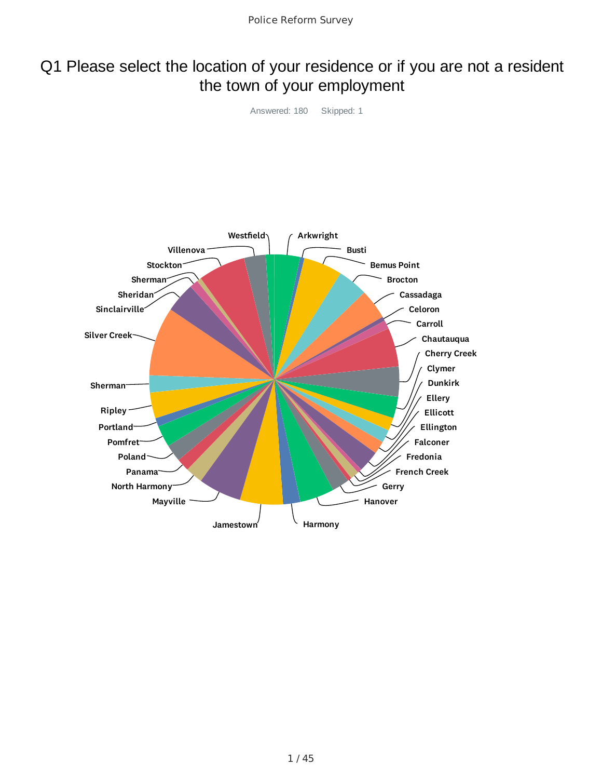### Q1 Please select the location of your residence or if you are not a resident the town of your employment

Answered: 180 Skipped: 1

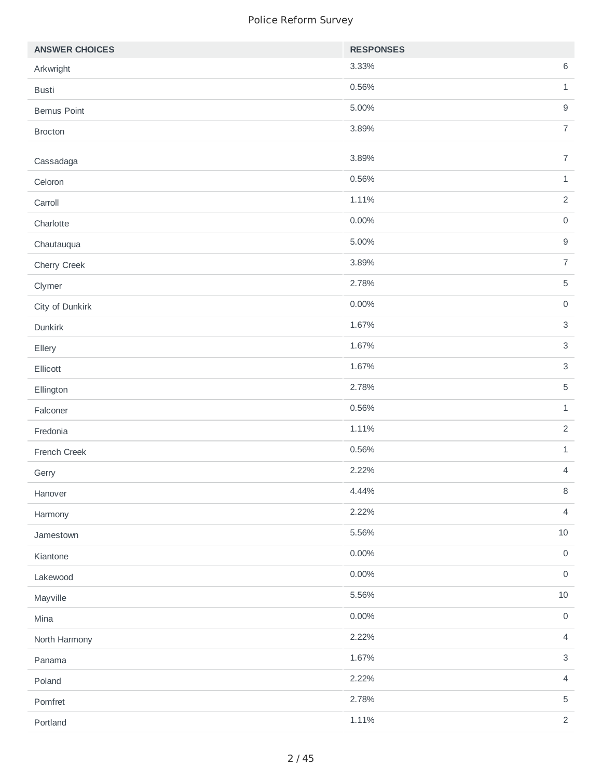| <b>ANSWER CHOICES</b> | <b>RESPONSES</b> |                     |
|-----------------------|------------------|---------------------|
| Arkwright             | 3.33%            | $\,6\,$             |
| <b>Busti</b>          | 0.56%            | $\mathbf 1$         |
| <b>Bemus Point</b>    | 5.00%            | $\boldsymbol{9}$    |
| <b>Brocton</b>        | 3.89%            | $\overline{7}$      |
| Cassadaga             | 3.89%            | $\overline{7}$      |
| Celoron               | 0.56%            | $\mathbf{1}$        |
| Carroll               | 1.11%            | $\overline{2}$      |
| Charlotte             | $0.00\%$         | $\mathsf{O}\xspace$ |
|                       | 5.00%            | $\boldsymbol{9}$    |
| Chautauqua            | 3.89%            | $\overline{7}$      |
| Cherry Creek          | 2.78%            | $\mathbf 5$         |
| Clymer                | $0.00\%$         | $\mathsf{O}\xspace$ |
| City of Dunkirk       |                  |                     |
| Dunkirk               | 1.67%            | $\sqrt{3}$          |
| Ellery                | 1.67%            | $\sqrt{3}$          |
| Ellicott              | 1.67%            | $\mathsf{3}$        |
| Ellington             | 2.78%            | 5                   |
| Falconer              | 0.56%            | $\mathbf 1$         |
| Fredonia              | 1.11%            | $\overline{c}$      |
| French Creek          | 0.56%            | $\mathbf 1$         |
| Gerry                 | 2.22%            | $\overline{4}$      |
| Hanover               | 4.44%            | $\, 8$              |
| Harmony               | 2.22%            | $\overline{4}$      |
| Jamestown             | 5.56%            | 10                  |
| Kiantone              | $0.00\%$         | $\mathsf{O}\xspace$ |
| Lakewood              | 0.00%            | $\mathsf{O}\xspace$ |
| Mayville              | 5.56%            | $10\,$              |
| Mina                  | $0.00\%$         | $\mathsf{O}\xspace$ |
| North Harmony         | 2.22%            | $\overline{4}$      |
| Panama                | 1.67%            | $\sqrt{3}$          |
| Poland                | 2.22%            | $\overline{4}$      |
| Pomfret               | 2.78%            | $\mathbf 5$         |
| Portland              | 1.11%            | $\overline{2}$      |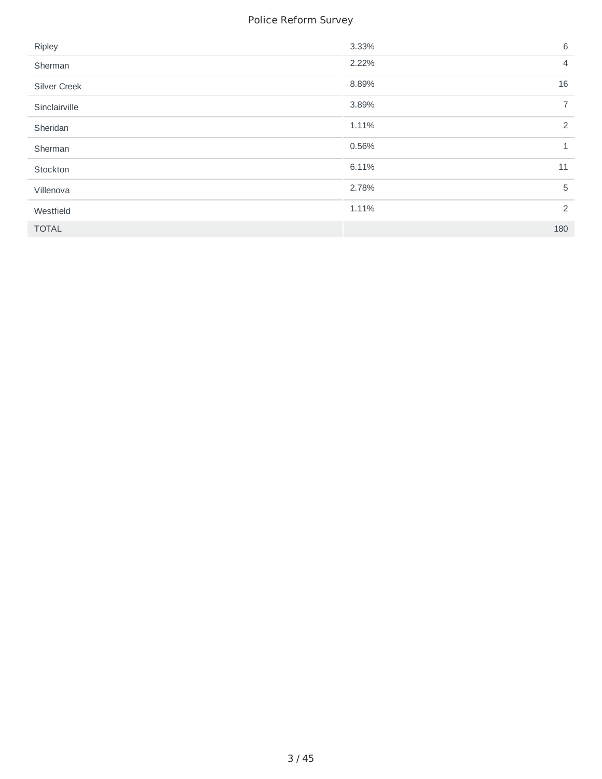| Ripley        | 3.33% | 6              |
|---------------|-------|----------------|
| Sherman       | 2.22% | 4              |
| Silver Creek  | 8.89% | 16             |
| Sinclairville | 3.89% | $\overline{7}$ |
| Sheridan      | 1.11% | 2              |
| Sherman       | 0.56% | 1              |
| Stockton      | 6.11% | 11             |
| Villenova     | 2.78% | 5              |
| Westfield     | 1.11% | 2              |
| <b>TOTAL</b>  |       | 180            |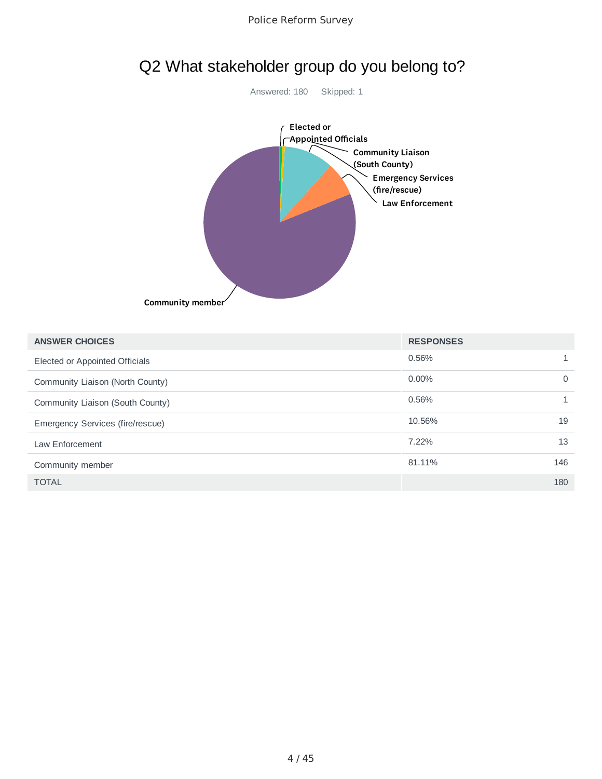

# Q2 What stakeholder group do you belong to?

| <b>ANSWER CHOICES</b>            | <b>RESPONSES</b> |          |
|----------------------------------|------------------|----------|
| Elected or Appointed Officials   | 0.56%            |          |
| Community Liaison (North County) | $0.00\%$         | $\Omega$ |
| Community Liaison (South County) | 0.56%            |          |
| Emergency Services (fire/rescue) | 10.56%           | 19       |
| Law Enforcement                  | 7.22%            | 13       |
| Community member                 | 81.11%           | 146      |
| <b>TOTAL</b>                     |                  | 180      |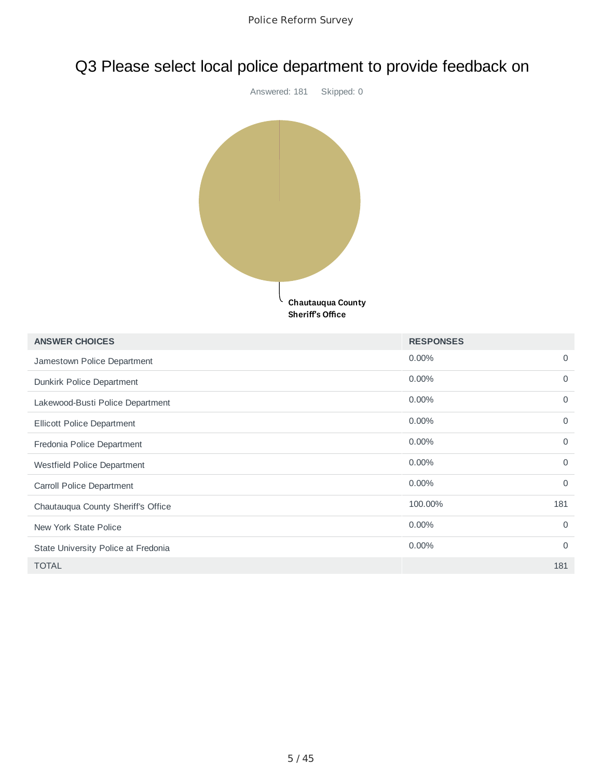# Q3 Please select local police department to provide feedback on



| <b>ANSWER CHOICES</b>               | <b>RESPONSES</b> |             |
|-------------------------------------|------------------|-------------|
| Jamestown Police Department         | $0.00\%$         | $\mathbf 0$ |
| Dunkirk Police Department           | $0.00\%$         | $\mathbf 0$ |
| Lakewood-Busti Police Department    | $0.00\%$         | $\Omega$    |
| <b>Ellicott Police Department</b>   | $0.00\%$         | $\Omega$    |
| Fredonia Police Department          | $0.00\%$         | $\mathbf 0$ |
| Westfield Police Department         | 0.00%            | $\Omega$    |
| Carroll Police Department           | $0.00\%$         | $\Omega$    |
| Chautauqua County Sheriff's Office  | 100.00%          | 181         |
| New York State Police               | 0.00%            | $\Omega$    |
| State University Police at Fredonia | 0.00%            | $\Omega$    |
| <b>TOTAL</b>                        |                  | 181         |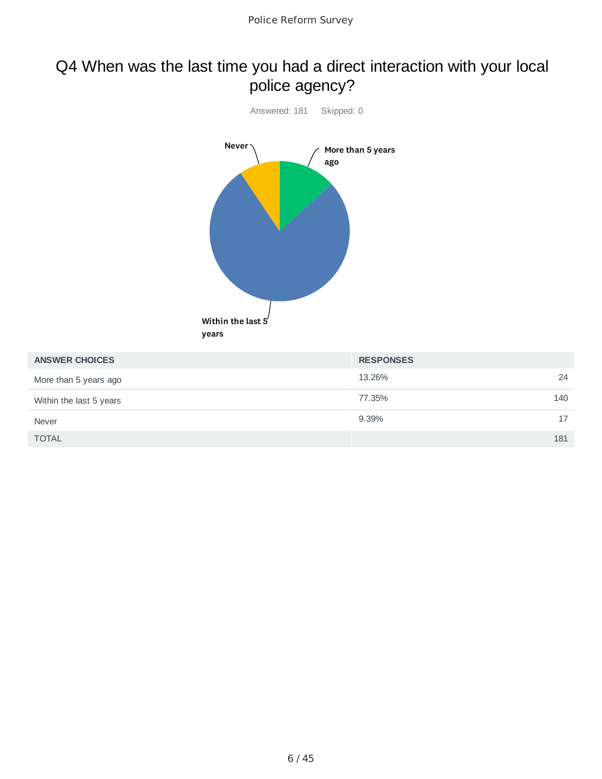### Q4 When was the last time you had a direct interaction with your local police agency?



| <b>ANSWER CHOICES</b>   | <b>RESPONSES</b> |
|-------------------------|------------------|
| More than 5 years ago   | 24<br>13.26%     |
| Within the last 5 years | 140<br>77.35%    |
| <b>Never</b>            | 9.39%<br>17      |
| <b>TOTAL</b>            | 181              |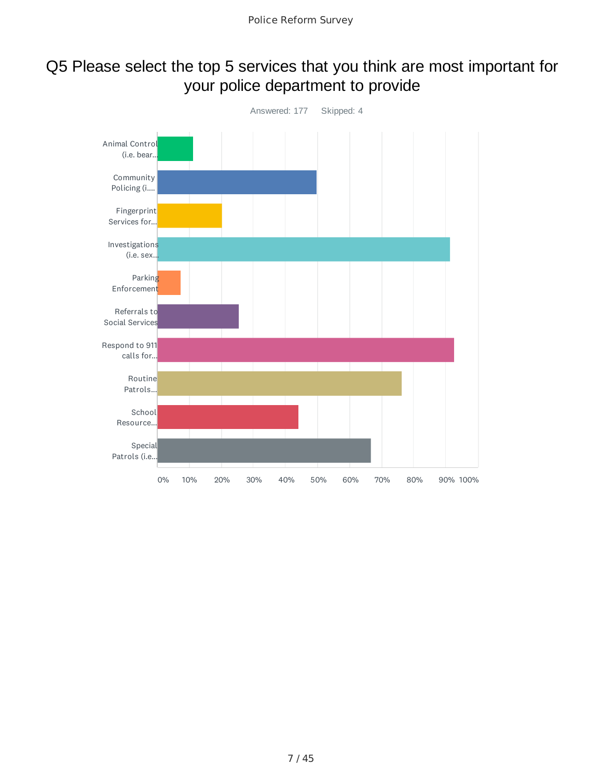### Q5 Please select the top 5 services that you think are most important for your police department to provide

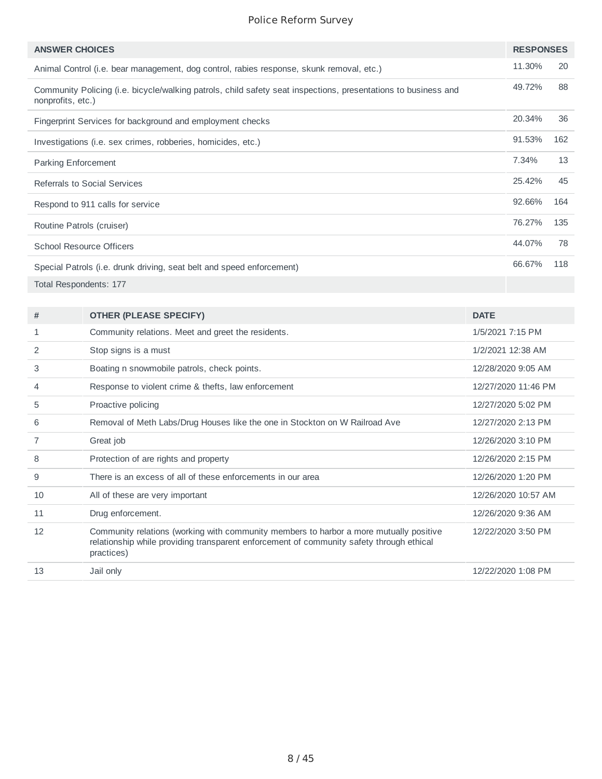| <b>ANSWER CHOICES</b>                                                                                                               | <b>RESPONSES</b> |     |
|-------------------------------------------------------------------------------------------------------------------------------------|------------------|-----|
| Animal Control (i.e. bear management, dog control, rabies response, skunk removal, etc.)                                            | 11.30%           | 20  |
| Community Policing (i.e. bicycle/walking patrols, child safety seat inspections, presentations to business and<br>nonprofits, etc.) | 49.72%           | 88  |
| Fingerprint Services for background and employment checks                                                                           | 20.34%           | 36  |
| Investigations (i.e. sex crimes, robberies, homicides, etc.)                                                                        | 91.53%           | 162 |
| <b>Parking Enforcement</b>                                                                                                          | 7.34%            | 13  |
| Referrals to Social Services                                                                                                        | 25.42%           | 45  |
| Respond to 911 calls for service                                                                                                    | 92.66%           | 164 |
| Routine Patrols (cruiser)                                                                                                           | 76.27%           | 135 |
| <b>School Resource Officers</b>                                                                                                     | 44.07%           | 78  |
| Special Patrols (i.e. drunk driving, seat belt and speed enforcement)                                                               | 66.67%           | 118 |
| Total Respondents: 177                                                                                                              |                  |     |

| #  | <b>OTHER (PLEASE SPECIFY)</b>                                                                                                                                                                    | <b>DATE</b>         |
|----|--------------------------------------------------------------------------------------------------------------------------------------------------------------------------------------------------|---------------------|
| 1  | Community relations. Meet and greet the residents.                                                                                                                                               | 1/5/2021 7:15 PM    |
| 2  | Stop signs is a must                                                                                                                                                                             | 1/2/2021 12:38 AM   |
| 3  | Boating n snowmobile patrols, check points.                                                                                                                                                      | 12/28/2020 9:05 AM  |
| 4  | Response to violent crime & thefts, law enforcement                                                                                                                                              | 12/27/2020 11:46 PM |
| 5  | Proactive policing                                                                                                                                                                               | 12/27/2020 5:02 PM  |
| 6  | Removal of Meth Labs/Drug Houses like the one in Stockton on W Railroad Ave                                                                                                                      | 12/27/2020 2:13 PM  |
| 7  | Great job                                                                                                                                                                                        | 12/26/2020 3:10 PM  |
| 8  | Protection of are rights and property                                                                                                                                                            | 12/26/2020 2:15 PM  |
| 9  | There is an excess of all of these enforcements in our area                                                                                                                                      | 12/26/2020 1:20 PM  |
| 10 | All of these are very important                                                                                                                                                                  | 12/26/2020 10:57 AM |
| 11 | Drug enforcement.                                                                                                                                                                                | 12/26/2020 9:36 AM  |
| 12 | Community relations (working with community members to harbor a more mutually positive<br>relationship while providing transparent enforcement of community safety through ethical<br>practices) | 12/22/2020 3:50 PM  |
| 13 | Jail only                                                                                                                                                                                        | 12/22/2020 1:08 PM  |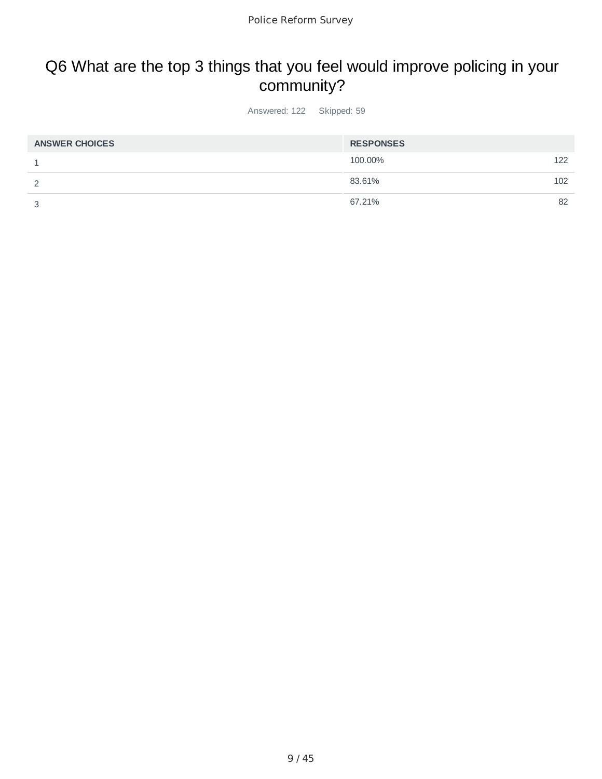## Q6 What are the top 3 things that you feel would improve policing in your community?

Answered: 122 Skipped: 59

| <b>ANSWER CHOICES</b> | <b>RESPONSES</b> |     |
|-----------------------|------------------|-----|
|                       | 100.00%          | 122 |
| c                     | 83.61%           | 102 |
| っ<br>×.               | 67.21%           | 82  |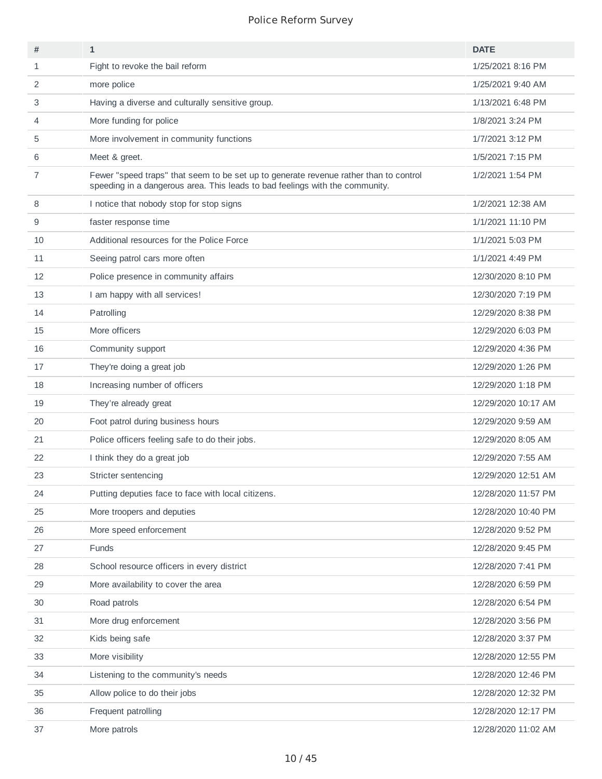| #              | $\mathbf{1}$                                                                                                                                                          | <b>DATE</b>         |
|----------------|-----------------------------------------------------------------------------------------------------------------------------------------------------------------------|---------------------|
| $\mathbf{1}$   | Fight to revoke the bail reform                                                                                                                                       | 1/25/2021 8:16 PM   |
| 2              | more police                                                                                                                                                           | 1/25/2021 9:40 AM   |
| 3              | Having a diverse and culturally sensitive group.                                                                                                                      | 1/13/2021 6:48 PM   |
| 4              | More funding for police                                                                                                                                               | 1/8/2021 3:24 PM    |
| 5              | More involvement in community functions                                                                                                                               | 1/7/2021 3:12 PM    |
| 6              | Meet & greet.                                                                                                                                                         | 1/5/2021 7:15 PM    |
| $\overline{7}$ | Fewer "speed traps" that seem to be set up to generate revenue rather than to control<br>speeding in a dangerous area. This leads to bad feelings with the community. | 1/2/2021 1:54 PM    |
| 8              | I notice that nobody stop for stop signs                                                                                                                              | 1/2/2021 12:38 AM   |
| 9              | faster response time                                                                                                                                                  | 1/1/2021 11:10 PM   |
| 10             | Additional resources for the Police Force                                                                                                                             | 1/1/2021 5:03 PM    |
| 11             | Seeing patrol cars more often                                                                                                                                         | 1/1/2021 4:49 PM    |
| 12             | Police presence in community affairs                                                                                                                                  | 12/30/2020 8:10 PM  |
| 13             | I am happy with all services!                                                                                                                                         | 12/30/2020 7:19 PM  |
| 14             | Patrolling                                                                                                                                                            | 12/29/2020 8:38 PM  |
| 15             | More officers                                                                                                                                                         | 12/29/2020 6:03 PM  |
| 16             | Community support                                                                                                                                                     | 12/29/2020 4:36 PM  |
| 17             | They're doing a great job                                                                                                                                             | 12/29/2020 1:26 PM  |
| 18             | Increasing number of officers                                                                                                                                         | 12/29/2020 1:18 PM  |
| 19             | They're already great                                                                                                                                                 | 12/29/2020 10:17 AM |
| 20             | Foot patrol during business hours                                                                                                                                     | 12/29/2020 9:59 AM  |
| 21             | Police officers feeling safe to do their jobs.                                                                                                                        | 12/29/2020 8:05 AM  |
| 22             | I think they do a great job                                                                                                                                           | 12/29/2020 7:55 AM  |
| 23             | Stricter sentencing                                                                                                                                                   | 12/29/2020 12:51 AM |
| 24             | Putting deputies face to face with local citizens.                                                                                                                    | 12/28/2020 11:57 PM |
| 25             | More troopers and deputies                                                                                                                                            | 12/28/2020 10:40 PM |
| 26             | More speed enforcement                                                                                                                                                | 12/28/2020 9:52 PM  |
| 27             | Funds                                                                                                                                                                 | 12/28/2020 9:45 PM  |
| 28             | School resource officers in every district                                                                                                                            | 12/28/2020 7:41 PM  |
| 29             | More availability to cover the area                                                                                                                                   | 12/28/2020 6:59 PM  |
| 30             | Road patrols                                                                                                                                                          | 12/28/2020 6:54 PM  |
| 31             | More drug enforcement                                                                                                                                                 | 12/28/2020 3:56 PM  |
| 32             | Kids being safe                                                                                                                                                       | 12/28/2020 3:37 PM  |
| 33             | More visibility                                                                                                                                                       | 12/28/2020 12:55 PM |
| 34             | Listening to the community's needs                                                                                                                                    | 12/28/2020 12:46 PM |
| 35             | Allow police to do their jobs                                                                                                                                         | 12/28/2020 12:32 PM |
| 36             | Frequent patrolling                                                                                                                                                   | 12/28/2020 12:17 PM |
| 37             | More patrols                                                                                                                                                          | 12/28/2020 11:02 AM |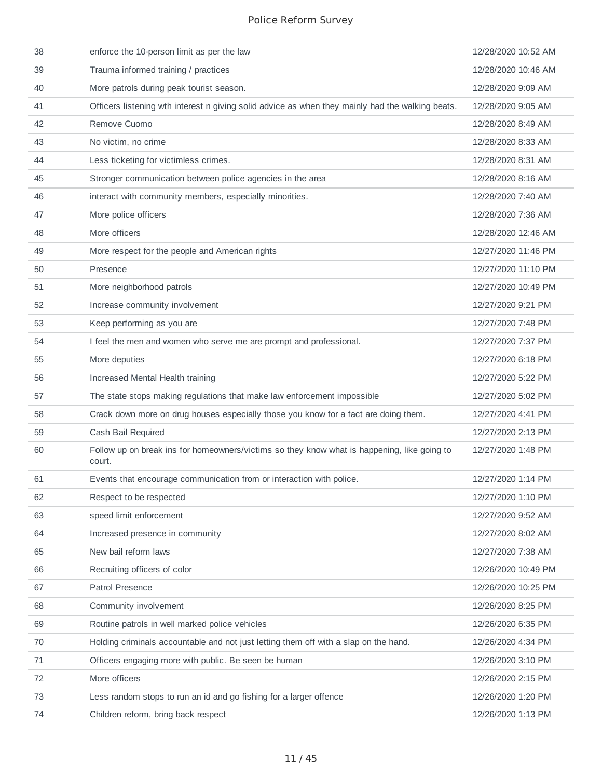| 38 | enforce the 10-person limit as per the law                                                            | 12/28/2020 10:52 AM |
|----|-------------------------------------------------------------------------------------------------------|---------------------|
| 39 | Trauma informed training / practices                                                                  | 12/28/2020 10:46 AM |
| 40 | More patrols during peak tourist season.                                                              | 12/28/2020 9:09 AM  |
| 41 | Officers listening wth interest n giving solid advice as when they mainly had the walking beats.      | 12/28/2020 9:05 AM  |
| 42 | Remove Cuomo                                                                                          | 12/28/2020 8:49 AM  |
| 43 | No victim, no crime                                                                                   | 12/28/2020 8:33 AM  |
| 44 | Less ticketing for victimless crimes.                                                                 | 12/28/2020 8:31 AM  |
| 45 | Stronger communication between police agencies in the area                                            | 12/28/2020 8:16 AM  |
| 46 | interact with community members, especially minorities.                                               | 12/28/2020 7:40 AM  |
| 47 | More police officers                                                                                  | 12/28/2020 7:36 AM  |
| 48 | More officers                                                                                         | 12/28/2020 12:46 AM |
| 49 | More respect for the people and American rights                                                       | 12/27/2020 11:46 PM |
| 50 | Presence                                                                                              | 12/27/2020 11:10 PM |
| 51 | More neighborhood patrols                                                                             | 12/27/2020 10:49 PM |
| 52 | Increase community involvement                                                                        | 12/27/2020 9:21 PM  |
| 53 | Keep performing as you are                                                                            | 12/27/2020 7:48 PM  |
| 54 | I feel the men and women who serve me are prompt and professional.                                    | 12/27/2020 7:37 PM  |
| 55 | More deputies                                                                                         | 12/27/2020 6:18 PM  |
| 56 | Increased Mental Health training                                                                      | 12/27/2020 5:22 PM  |
| 57 | The state stops making regulations that make law enforcement impossible                               | 12/27/2020 5:02 PM  |
| 58 | Crack down more on drug houses especially those you know for a fact are doing them.                   | 12/27/2020 4:41 PM  |
| 59 | Cash Bail Required                                                                                    | 12/27/2020 2:13 PM  |
| 60 | Follow up on break ins for homeowners/victims so they know what is happening, like going to<br>court. | 12/27/2020 1:48 PM  |
| 61 | Events that encourage communication from or interaction with police.                                  | 12/27/2020 1:14 PM  |
| 62 | Respect to be respected                                                                               | 12/27/2020 1:10 PM  |
| 63 | speed limit enforcement                                                                               | 12/27/2020 9:52 AM  |
| 64 | Increased presence in community                                                                       | 12/27/2020 8:02 AM  |
| 65 | New bail reform laws                                                                                  | 12/27/2020 7:38 AM  |
| 66 | Recruiting officers of color                                                                          | 12/26/2020 10:49 PM |
| 67 | Patrol Presence                                                                                       | 12/26/2020 10:25 PM |
| 68 | Community involvement                                                                                 | 12/26/2020 8:25 PM  |
| 69 | Routine patrols in well marked police vehicles                                                        | 12/26/2020 6:35 PM  |
| 70 | Holding criminals accountable and not just letting them off with a slap on the hand.                  | 12/26/2020 4:34 PM  |
| 71 | Officers engaging more with public. Be seen be human                                                  | 12/26/2020 3:10 PM  |
| 72 | More officers                                                                                         | 12/26/2020 2:15 PM  |
| 73 | Less random stops to run an id and go fishing for a larger offence                                    | 12/26/2020 1:20 PM  |
| 74 | Children reform, bring back respect                                                                   | 12/26/2020 1:13 PM  |
|    |                                                                                                       |                     |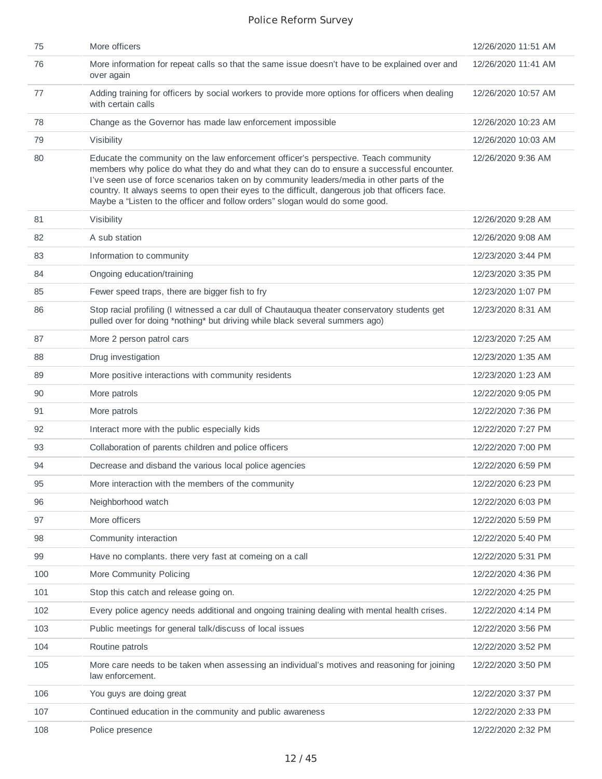| 75  | More officers                                                                                                                                                                                                                                                                                                                                                                                                                                                     | 12/26/2020 11:51 AM |
|-----|-------------------------------------------------------------------------------------------------------------------------------------------------------------------------------------------------------------------------------------------------------------------------------------------------------------------------------------------------------------------------------------------------------------------------------------------------------------------|---------------------|
| 76  | More information for repeat calls so that the same issue doesn't have to be explained over and<br>over again                                                                                                                                                                                                                                                                                                                                                      | 12/26/2020 11:41 AM |
| 77  | Adding training for officers by social workers to provide more options for officers when dealing<br>with certain calls                                                                                                                                                                                                                                                                                                                                            | 12/26/2020 10:57 AM |
| 78  | Change as the Governor has made law enforcement impossible                                                                                                                                                                                                                                                                                                                                                                                                        | 12/26/2020 10:23 AM |
| 79  | Visibility                                                                                                                                                                                                                                                                                                                                                                                                                                                        | 12/26/2020 10:03 AM |
| 80  | Educate the community on the law enforcement officer's perspective. Teach community<br>members why police do what they do and what they can do to ensure a successful encounter.<br>I've seen use of force scenarios taken on by community leaders/media in other parts of the<br>country. It always seems to open their eyes to the difficult, dangerous job that officers face.<br>Maybe a "Listen to the officer and follow orders" slogan would do some good. | 12/26/2020 9:36 AM  |
| 81  | Visibility                                                                                                                                                                                                                                                                                                                                                                                                                                                        | 12/26/2020 9:28 AM  |
| 82  | A sub station                                                                                                                                                                                                                                                                                                                                                                                                                                                     | 12/26/2020 9:08 AM  |
| 83  | Information to community                                                                                                                                                                                                                                                                                                                                                                                                                                          | 12/23/2020 3:44 PM  |
| 84  | Ongoing education/training                                                                                                                                                                                                                                                                                                                                                                                                                                        | 12/23/2020 3:35 PM  |
| 85  | Fewer speed traps, there are bigger fish to fry                                                                                                                                                                                                                                                                                                                                                                                                                   | 12/23/2020 1:07 PM  |
| 86  | Stop racial profiling (I witnessed a car dull of Chautauqua theater conservatory students get<br>pulled over for doing *nothing* but driving while black several summers ago)                                                                                                                                                                                                                                                                                     | 12/23/2020 8:31 AM  |
| 87  | More 2 person patrol cars                                                                                                                                                                                                                                                                                                                                                                                                                                         | 12/23/2020 7:25 AM  |
| 88  | Drug investigation                                                                                                                                                                                                                                                                                                                                                                                                                                                | 12/23/2020 1:35 AM  |
| 89  | More positive interactions with community residents                                                                                                                                                                                                                                                                                                                                                                                                               | 12/23/2020 1:23 AM  |
| 90  | More patrols                                                                                                                                                                                                                                                                                                                                                                                                                                                      | 12/22/2020 9:05 PM  |
| 91  | More patrols                                                                                                                                                                                                                                                                                                                                                                                                                                                      | 12/22/2020 7:36 PM  |
| 92  | Interact more with the public especially kids                                                                                                                                                                                                                                                                                                                                                                                                                     | 12/22/2020 7:27 PM  |
| 93  | Collaboration of parents children and police officers                                                                                                                                                                                                                                                                                                                                                                                                             | 12/22/2020 7:00 PM  |
| 94  | Decrease and disband the various local police agencies                                                                                                                                                                                                                                                                                                                                                                                                            | 12/22/2020 6:59 PM  |
| 95  | More interaction with the members of the community                                                                                                                                                                                                                                                                                                                                                                                                                | 12/22/2020 6:23 PM  |
| 96  | Neighborhood watch                                                                                                                                                                                                                                                                                                                                                                                                                                                | 12/22/2020 6:03 PM  |
| 97  | More officers                                                                                                                                                                                                                                                                                                                                                                                                                                                     | 12/22/2020 5:59 PM  |
| 98  | Community interaction                                                                                                                                                                                                                                                                                                                                                                                                                                             | 12/22/2020 5:40 PM  |
| 99  | Have no complants. there very fast at comeing on a call                                                                                                                                                                                                                                                                                                                                                                                                           | 12/22/2020 5:31 PM  |
| 100 | More Community Policing                                                                                                                                                                                                                                                                                                                                                                                                                                           | 12/22/2020 4:36 PM  |
| 101 | Stop this catch and release going on.                                                                                                                                                                                                                                                                                                                                                                                                                             | 12/22/2020 4:25 PM  |
| 102 | Every police agency needs additional and ongoing training dealing with mental health crises.                                                                                                                                                                                                                                                                                                                                                                      | 12/22/2020 4:14 PM  |
| 103 | Public meetings for general talk/discuss of local issues                                                                                                                                                                                                                                                                                                                                                                                                          | 12/22/2020 3:56 PM  |
| 104 | Routine patrols                                                                                                                                                                                                                                                                                                                                                                                                                                                   | 12/22/2020 3:52 PM  |
| 105 | More care needs to be taken when assessing an individual's motives and reasoning for joining<br>law enforcement.                                                                                                                                                                                                                                                                                                                                                  | 12/22/2020 3:50 PM  |
| 106 | You guys are doing great                                                                                                                                                                                                                                                                                                                                                                                                                                          | 12/22/2020 3:37 PM  |
| 107 | Continued education in the community and public awareness                                                                                                                                                                                                                                                                                                                                                                                                         | 12/22/2020 2:33 PM  |
| 108 | Police presence                                                                                                                                                                                                                                                                                                                                                                                                                                                   | 12/22/2020 2:32 PM  |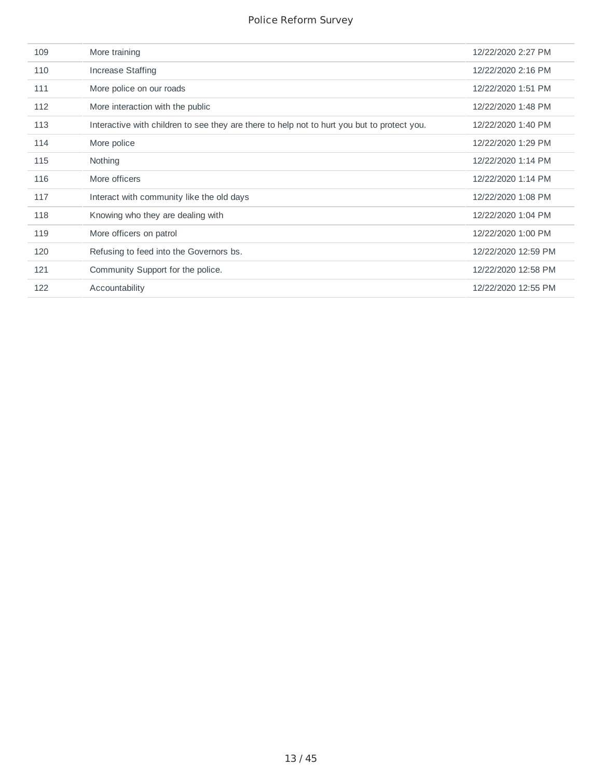| 109 | More training                                                                               | 12/22/2020 2:27 PM  |
|-----|---------------------------------------------------------------------------------------------|---------------------|
| 110 | Increase Staffing                                                                           | 12/22/2020 2:16 PM  |
| 111 | More police on our roads                                                                    | 12/22/2020 1:51 PM  |
| 112 | More interaction with the public                                                            | 12/22/2020 1:48 PM  |
| 113 | Interactive with children to see they are there to help not to hurt you but to protect you. | 12/22/2020 1:40 PM  |
| 114 | More police                                                                                 | 12/22/2020 1:29 PM  |
| 115 | Nothing                                                                                     | 12/22/2020 1:14 PM  |
| 116 | More officers                                                                               | 12/22/2020 1:14 PM  |
| 117 | Interact with community like the old days                                                   | 12/22/2020 1:08 PM  |
| 118 | Knowing who they are dealing with                                                           | 12/22/2020 1:04 PM  |
| 119 | More officers on patrol                                                                     | 12/22/2020 1:00 PM  |
| 120 | Refusing to feed into the Governors bs.                                                     | 12/22/2020 12:59 PM |
| 121 | Community Support for the police.                                                           | 12/22/2020 12:58 PM |
| 122 | Accountability                                                                              | 12/22/2020 12:55 PM |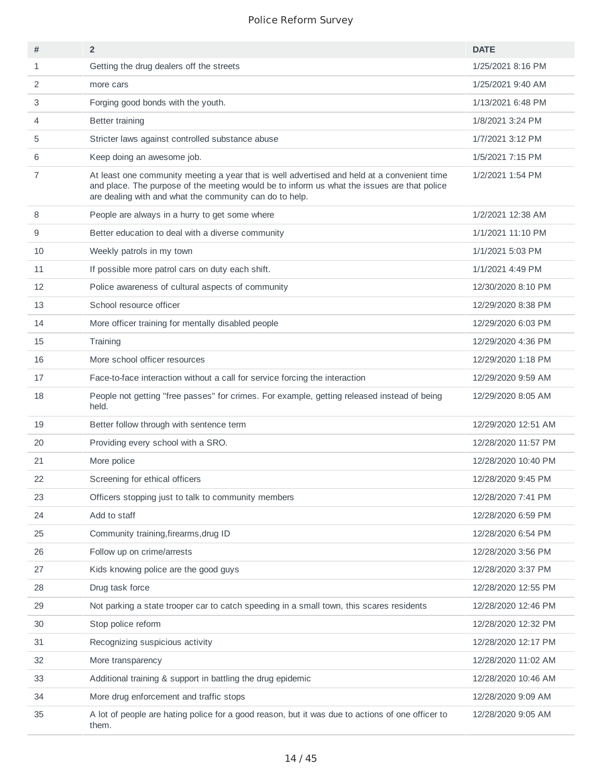| #              | $\overline{2}$                                                                                                                                                                                                                                        | <b>DATE</b>         |
|----------------|-------------------------------------------------------------------------------------------------------------------------------------------------------------------------------------------------------------------------------------------------------|---------------------|
| $\mathbf{1}$   | Getting the drug dealers off the streets                                                                                                                                                                                                              | 1/25/2021 8:16 PM   |
| 2              | more cars                                                                                                                                                                                                                                             | 1/25/2021 9:40 AM   |
| 3              | Forging good bonds with the youth.                                                                                                                                                                                                                    | 1/13/2021 6:48 PM   |
| 4              | Better training                                                                                                                                                                                                                                       | 1/8/2021 3:24 PM    |
| 5              | Stricter laws against controlled substance abuse                                                                                                                                                                                                      | 1/7/2021 3:12 PM    |
| 6              | Keep doing an awesome job.                                                                                                                                                                                                                            | 1/5/2021 7:15 PM    |
| $\overline{7}$ | At least one community meeting a year that is well advertised and held at a convenient time<br>and place. The purpose of the meeting would be to inform us what the issues are that police<br>are dealing with and what the community can do to help. | 1/2/2021 1:54 PM    |
| 8              | People are always in a hurry to get some where                                                                                                                                                                                                        | 1/2/2021 12:38 AM   |
| 9              | Better education to deal with a diverse community                                                                                                                                                                                                     | 1/1/2021 11:10 PM   |
| 10             | Weekly patrols in my town                                                                                                                                                                                                                             | 1/1/2021 5:03 PM    |
| 11             | If possible more patrol cars on duty each shift.                                                                                                                                                                                                      | 1/1/2021 4:49 PM    |
| 12             | Police awareness of cultural aspects of community                                                                                                                                                                                                     | 12/30/2020 8:10 PM  |
| 13             | School resource officer                                                                                                                                                                                                                               | 12/29/2020 8:38 PM  |
| 14             | More officer training for mentally disabled people                                                                                                                                                                                                    | 12/29/2020 6:03 PM  |
| 15             | Training                                                                                                                                                                                                                                              | 12/29/2020 4:36 PM  |
| 16             | More school officer resources                                                                                                                                                                                                                         | 12/29/2020 1:18 PM  |
| 17             | Face-to-face interaction without a call for service forcing the interaction                                                                                                                                                                           | 12/29/2020 9:59 AM  |
| 18             | People not getting "free passes" for crimes. For example, getting released instead of being<br>held.                                                                                                                                                  | 12/29/2020 8:05 AM  |
| 19             | Better follow through with sentence term                                                                                                                                                                                                              | 12/29/2020 12:51 AM |
| 20             | Providing every school with a SRO.                                                                                                                                                                                                                    | 12/28/2020 11:57 PM |
| 21             | More police                                                                                                                                                                                                                                           | 12/28/2020 10:40 PM |
| 22             | Screening for ethical officers                                                                                                                                                                                                                        | 12/28/2020 9:45 PM  |
| 23             | Officers stopping just to talk to community members                                                                                                                                                                                                   | 12/28/2020 7:41 PM  |
| 24             | Add to staff                                                                                                                                                                                                                                          | 12/28/2020 6:59 PM  |
| 25             | Community training, firearms, drug ID                                                                                                                                                                                                                 | 12/28/2020 6:54 PM  |
| 26             | Follow up on crime/arrests                                                                                                                                                                                                                            | 12/28/2020 3:56 PM  |
| 27             | Kids knowing police are the good guys                                                                                                                                                                                                                 | 12/28/2020 3:37 PM  |
| 28             | Drug task force                                                                                                                                                                                                                                       | 12/28/2020 12:55 PM |
| 29             | Not parking a state trooper car to catch speeding in a small town, this scares residents                                                                                                                                                              | 12/28/2020 12:46 PM |
| 30             | Stop police reform                                                                                                                                                                                                                                    | 12/28/2020 12:32 PM |
| 31             | Recognizing suspicious activity                                                                                                                                                                                                                       | 12/28/2020 12:17 PM |
| 32             | More transparency                                                                                                                                                                                                                                     | 12/28/2020 11:02 AM |
| 33             | Additional training & support in battling the drug epidemic                                                                                                                                                                                           | 12/28/2020 10:46 AM |
| 34             | More drug enforcement and traffic stops                                                                                                                                                                                                               | 12/28/2020 9:09 AM  |
| 35             | A lot of people are hating police for a good reason, but it was due to actions of one officer to<br>them.                                                                                                                                             | 12/28/2020 9:05 AM  |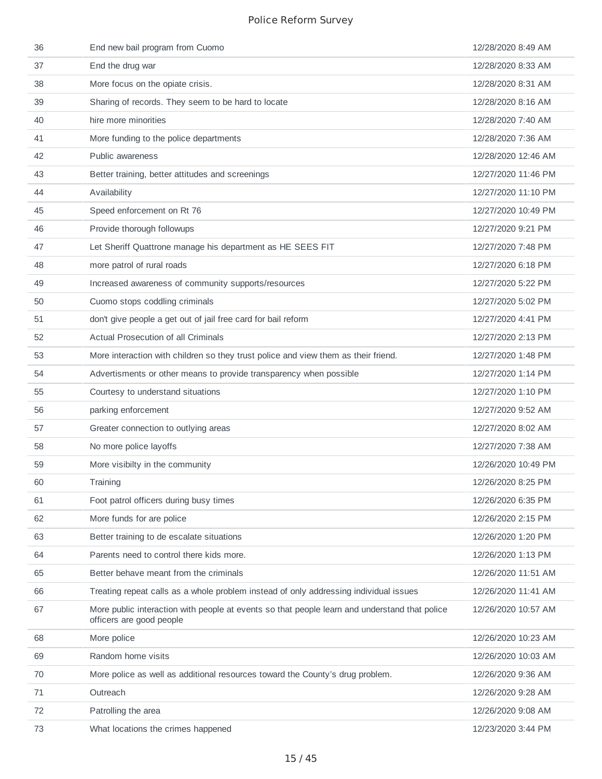| 36 | End new bail program from Cuomo                                                                                           | 12/28/2020 8:49 AM  |
|----|---------------------------------------------------------------------------------------------------------------------------|---------------------|
| 37 | End the drug war                                                                                                          | 12/28/2020 8:33 AM  |
| 38 | More focus on the opiate crisis.                                                                                          | 12/28/2020 8:31 AM  |
| 39 | Sharing of records. They seem to be hard to locate                                                                        | 12/28/2020 8:16 AM  |
| 40 | hire more minorities                                                                                                      | 12/28/2020 7:40 AM  |
| 41 | More funding to the police departments                                                                                    | 12/28/2020 7:36 AM  |
| 42 | Public awareness                                                                                                          | 12/28/2020 12:46 AM |
| 43 | Better training, better attitudes and screenings                                                                          | 12/27/2020 11:46 PM |
| 44 | Availability                                                                                                              | 12/27/2020 11:10 PM |
| 45 | Speed enforcement on Rt 76                                                                                                | 12/27/2020 10:49 PM |
| 46 | Provide thorough followups                                                                                                | 12/27/2020 9:21 PM  |
| 47 | Let Sheriff Quattrone manage his department as HE SEES FIT                                                                | 12/27/2020 7:48 PM  |
| 48 | more patrol of rural roads                                                                                                | 12/27/2020 6:18 PM  |
| 49 | Increased awareness of community supports/resources                                                                       | 12/27/2020 5:22 PM  |
| 50 | Cuomo stops coddling criminals                                                                                            | 12/27/2020 5:02 PM  |
| 51 | don't give people a get out of jail free card for bail reform                                                             | 12/27/2020 4:41 PM  |
| 52 | Actual Prosecution of all Criminals                                                                                       | 12/27/2020 2:13 PM  |
| 53 | More interaction with children so they trust police and view them as their friend.                                        | 12/27/2020 1:48 PM  |
| 54 | Advertisments or other means to provide transparency when possible                                                        | 12/27/2020 1:14 PM  |
| 55 | Courtesy to understand situations                                                                                         | 12/27/2020 1:10 PM  |
| 56 | parking enforcement                                                                                                       | 12/27/2020 9:52 AM  |
| 57 | Greater connection to outlying areas                                                                                      | 12/27/2020 8:02 AM  |
| 58 | No more police layoffs                                                                                                    | 12/27/2020 7:38 AM  |
| 59 | More visibilty in the community                                                                                           | 12/26/2020 10:49 PM |
| 60 | Training                                                                                                                  | 12/26/2020 8:25 PM  |
| 61 | Foot patrol officers during busy times                                                                                    | 12/26/2020 6:35 PM  |
| 62 | More funds for are police                                                                                                 | 12/26/2020 2:15 PM  |
| 63 | Better training to de escalate situations                                                                                 | 12/26/2020 1:20 PM  |
| 64 | Parents need to control there kids more.                                                                                  | 12/26/2020 1:13 PM  |
| 65 | Better behave meant from the criminals                                                                                    | 12/26/2020 11:51 AM |
| 66 | Treating repeat calls as a whole problem instead of only addressing individual issues                                     | 12/26/2020 11:41 AM |
| 67 | More public interaction with people at events so that people learn and understand that police<br>officers are good people | 12/26/2020 10:57 AM |
| 68 | More police                                                                                                               | 12/26/2020 10:23 AM |
| 69 | Random home visits                                                                                                        | 12/26/2020 10:03 AM |
| 70 | More police as well as additional resources toward the County's drug problem.                                             | 12/26/2020 9:36 AM  |
| 71 | Outreach                                                                                                                  | 12/26/2020 9:28 AM  |
| 72 | Patrolling the area                                                                                                       | 12/26/2020 9:08 AM  |
| 73 | What locations the crimes happened                                                                                        | 12/23/2020 3:44 PM  |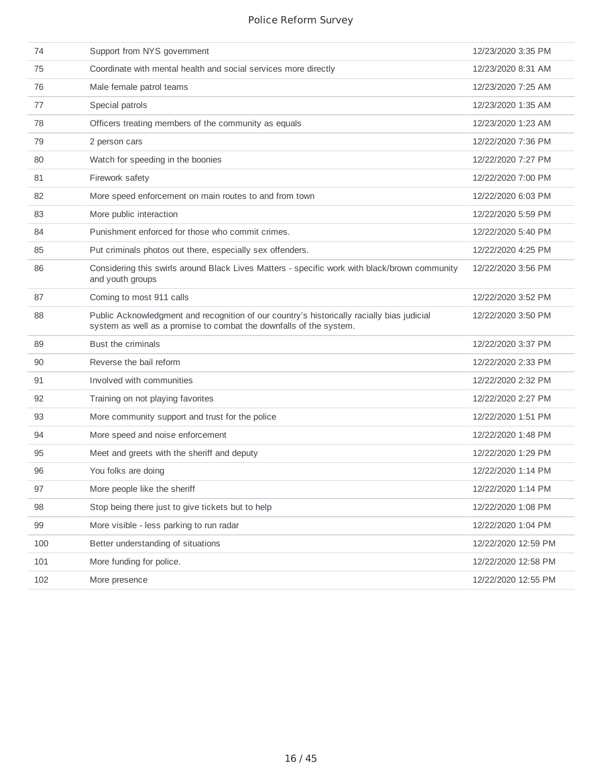| 74  | Support from NYS government                                                                                                                                      | 12/23/2020 3:35 PM  |
|-----|------------------------------------------------------------------------------------------------------------------------------------------------------------------|---------------------|
| 75  | Coordinate with mental health and social services more directly                                                                                                  | 12/23/2020 8:31 AM  |
| 76  | Male female patrol teams                                                                                                                                         | 12/23/2020 7:25 AM  |
| 77  | Special patrols                                                                                                                                                  | 12/23/2020 1:35 AM  |
| 78  | Officers treating members of the community as equals                                                                                                             | 12/23/2020 1:23 AM  |
| 79  | 2 person cars                                                                                                                                                    | 12/22/2020 7:36 PM  |
| 80  | Watch for speeding in the boonies                                                                                                                                | 12/22/2020 7:27 PM  |
| 81  | Firework safety                                                                                                                                                  | 12/22/2020 7:00 PM  |
| 82  | More speed enforcement on main routes to and from town                                                                                                           | 12/22/2020 6:03 PM  |
| 83  | More public interaction                                                                                                                                          | 12/22/2020 5:59 PM  |
| 84  | Punishment enforced for those who commit crimes.                                                                                                                 | 12/22/2020 5:40 PM  |
| 85  | Put criminals photos out there, especially sex offenders.                                                                                                        | 12/22/2020 4:25 PM  |
| 86  | Considering this swirls around Black Lives Matters - specific work with black/brown community<br>and youth groups                                                | 12/22/2020 3:56 PM  |
| 87  | Coming to most 911 calls                                                                                                                                         | 12/22/2020 3:52 PM  |
| 88  | Public Acknowledgment and recognition of our country's historically racially bias judicial<br>system as well as a promise to combat the downfalls of the system. | 12/22/2020 3:50 PM  |
| 89  | Bust the criminals                                                                                                                                               | 12/22/2020 3:37 PM  |
| 90  | Reverse the bail reform                                                                                                                                          | 12/22/2020 2:33 PM  |
| 91  | Involved with communities                                                                                                                                        | 12/22/2020 2:32 PM  |
| 92  | Training on not playing favorites                                                                                                                                | 12/22/2020 2:27 PM  |
| 93  | More community support and trust for the police                                                                                                                  | 12/22/2020 1:51 PM  |
| 94  | More speed and noise enforcement                                                                                                                                 | 12/22/2020 1:48 PM  |
| 95  | Meet and greets with the sheriff and deputy                                                                                                                      | 12/22/2020 1:29 PM  |
| 96  | You folks are doing                                                                                                                                              | 12/22/2020 1:14 PM  |
| 97  | More people like the sheriff                                                                                                                                     | 12/22/2020 1:14 PM  |
| 98  | Stop being there just to give tickets but to help                                                                                                                | 12/22/2020 1:08 PM  |
| 99  | More visible - less parking to run radar                                                                                                                         | 12/22/2020 1:04 PM  |
| 100 | Better understanding of situations                                                                                                                               | 12/22/2020 12:59 PM |
| 101 | More funding for police.                                                                                                                                         | 12/22/2020 12:58 PM |
| 102 | More presence                                                                                                                                                    | 12/22/2020 12:55 PM |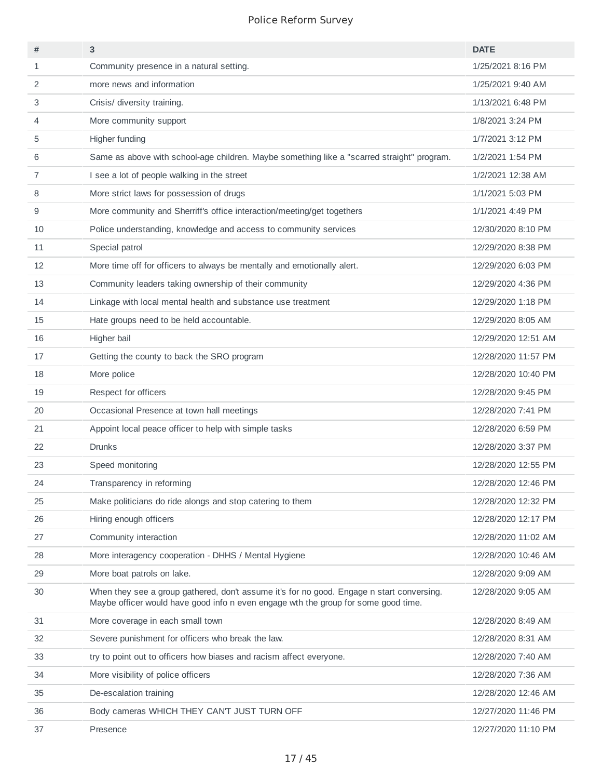| #  | 3                                                                                                                                                                               | <b>DATE</b>         |
|----|---------------------------------------------------------------------------------------------------------------------------------------------------------------------------------|---------------------|
| 1  | Community presence in a natural setting.                                                                                                                                        | 1/25/2021 8:16 PM   |
| 2  | more news and information                                                                                                                                                       | 1/25/2021 9:40 AM   |
| 3  | Crisis/ diversity training.                                                                                                                                                     | 1/13/2021 6:48 PM   |
| 4  | More community support                                                                                                                                                          | 1/8/2021 3:24 PM    |
| 5  | Higher funding                                                                                                                                                                  | 1/7/2021 3:12 PM    |
| 6  | Same as above with school-age children. Maybe something like a "scarred straight" program.                                                                                      | 1/2/2021 1:54 PM    |
| 7  | I see a lot of people walking in the street                                                                                                                                     | 1/2/2021 12:38 AM   |
| 8  | More strict laws for possession of drugs                                                                                                                                        | 1/1/2021 5:03 PM    |
| 9  | More community and Sherriff's office interaction/meeting/get togethers                                                                                                          | 1/1/2021 4:49 PM    |
| 10 | Police understanding, knowledge and access to community services                                                                                                                | 12/30/2020 8:10 PM  |
| 11 | Special patrol                                                                                                                                                                  | 12/29/2020 8:38 PM  |
| 12 | More time off for officers to always be mentally and emotionally alert.                                                                                                         | 12/29/2020 6:03 PM  |
| 13 | Community leaders taking ownership of their community                                                                                                                           | 12/29/2020 4:36 PM  |
| 14 | Linkage with local mental health and substance use treatment                                                                                                                    | 12/29/2020 1:18 PM  |
| 15 | Hate groups need to be held accountable.                                                                                                                                        | 12/29/2020 8:05 AM  |
| 16 | Higher bail                                                                                                                                                                     | 12/29/2020 12:51 AM |
| 17 | Getting the county to back the SRO program                                                                                                                                      | 12/28/2020 11:57 PM |
| 18 | More police                                                                                                                                                                     | 12/28/2020 10:40 PM |
| 19 | Respect for officers                                                                                                                                                            | 12/28/2020 9:45 PM  |
| 20 | Occasional Presence at town hall meetings                                                                                                                                       | 12/28/2020 7:41 PM  |
| 21 | Appoint local peace officer to help with simple tasks                                                                                                                           | 12/28/2020 6:59 PM  |
| 22 | <b>Drunks</b>                                                                                                                                                                   | 12/28/2020 3:37 PM  |
| 23 | Speed monitoring                                                                                                                                                                | 12/28/2020 12:55 PM |
| 24 | Transparency in reforming                                                                                                                                                       | 12/28/2020 12:46 PM |
| 25 | Make politicians do ride alongs and stop catering to them                                                                                                                       | 12/28/2020 12:32 PM |
| 26 | Hiring enough officers                                                                                                                                                          | 12/28/2020 12:17 PM |
| 27 | Community interaction                                                                                                                                                           | 12/28/2020 11:02 AM |
| 28 | More interagency cooperation - DHHS / Mental Hygiene                                                                                                                            | 12/28/2020 10:46 AM |
| 29 | More boat patrols on lake.                                                                                                                                                      | 12/28/2020 9:09 AM  |
| 30 | When they see a group gathered, don't assume it's for no good. Engage n start conversing.<br>Maybe officer would have good info n even engage wth the group for some good time. | 12/28/2020 9:05 AM  |
| 31 | More coverage in each small town                                                                                                                                                | 12/28/2020 8:49 AM  |
| 32 | Severe punishment for officers who break the law.                                                                                                                               | 12/28/2020 8:31 AM  |
| 33 | try to point out to officers how biases and racism affect everyone.                                                                                                             | 12/28/2020 7:40 AM  |
| 34 | More visibility of police officers                                                                                                                                              | 12/28/2020 7:36 AM  |
| 35 | De-escalation training                                                                                                                                                          | 12/28/2020 12:46 AM |
| 36 | Body cameras WHICH THEY CAN'T JUST TURN OFF                                                                                                                                     | 12/27/2020 11:46 PM |
| 37 | Presence                                                                                                                                                                        | 12/27/2020 11:10 PM |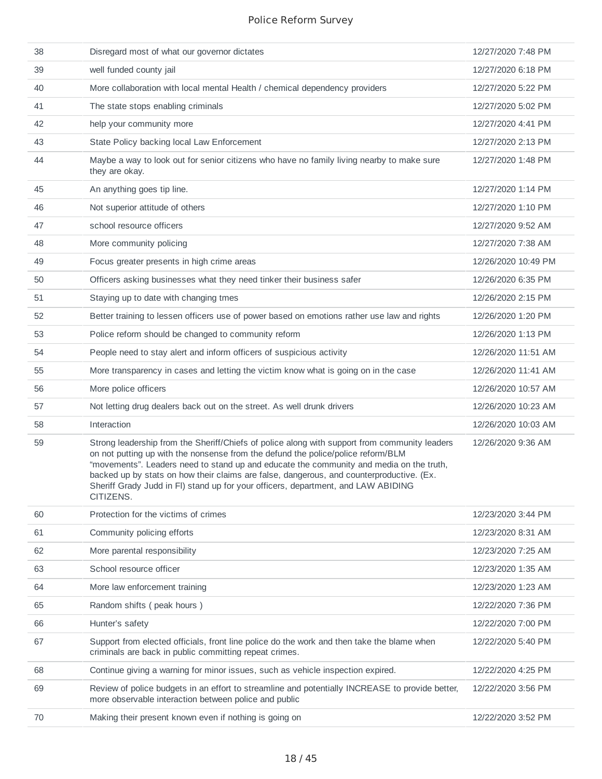| 38 | Disregard most of what our governor dictates                                                                                                                                                                                                                                                                                                                                                                                                                               | 12/27/2020 7:48 PM  |
|----|----------------------------------------------------------------------------------------------------------------------------------------------------------------------------------------------------------------------------------------------------------------------------------------------------------------------------------------------------------------------------------------------------------------------------------------------------------------------------|---------------------|
| 39 | well funded county jail                                                                                                                                                                                                                                                                                                                                                                                                                                                    | 12/27/2020 6:18 PM  |
| 40 | More collaboration with local mental Health / chemical dependency providers                                                                                                                                                                                                                                                                                                                                                                                                | 12/27/2020 5:22 PM  |
| 41 | The state stops enabling criminals                                                                                                                                                                                                                                                                                                                                                                                                                                         | 12/27/2020 5:02 PM  |
| 42 | help your community more                                                                                                                                                                                                                                                                                                                                                                                                                                                   | 12/27/2020 4:41 PM  |
| 43 | State Policy backing local Law Enforcement                                                                                                                                                                                                                                                                                                                                                                                                                                 | 12/27/2020 2:13 PM  |
| 44 | Maybe a way to look out for senior citizens who have no family living nearby to make sure<br>they are okay.                                                                                                                                                                                                                                                                                                                                                                | 12/27/2020 1:48 PM  |
| 45 | An anything goes tip line.                                                                                                                                                                                                                                                                                                                                                                                                                                                 | 12/27/2020 1:14 PM  |
| 46 | Not superior attitude of others                                                                                                                                                                                                                                                                                                                                                                                                                                            | 12/27/2020 1:10 PM  |
| 47 | school resource officers                                                                                                                                                                                                                                                                                                                                                                                                                                                   | 12/27/2020 9:52 AM  |
| 48 | More community policing                                                                                                                                                                                                                                                                                                                                                                                                                                                    | 12/27/2020 7:38 AM  |
| 49 | Focus greater presents in high crime areas                                                                                                                                                                                                                                                                                                                                                                                                                                 | 12/26/2020 10:49 PM |
| 50 | Officers asking businesses what they need tinker their business safer                                                                                                                                                                                                                                                                                                                                                                                                      | 12/26/2020 6:35 PM  |
| 51 | Staying up to date with changing tmes                                                                                                                                                                                                                                                                                                                                                                                                                                      | 12/26/2020 2:15 PM  |
| 52 | Better training to lessen officers use of power based on emotions rather use law and rights                                                                                                                                                                                                                                                                                                                                                                                | 12/26/2020 1:20 PM  |
| 53 | Police reform should be changed to community reform                                                                                                                                                                                                                                                                                                                                                                                                                        | 12/26/2020 1:13 PM  |
| 54 | People need to stay alert and inform officers of suspicious activity                                                                                                                                                                                                                                                                                                                                                                                                       | 12/26/2020 11:51 AM |
| 55 | More transparency in cases and letting the victim know what is going on in the case                                                                                                                                                                                                                                                                                                                                                                                        | 12/26/2020 11:41 AM |
| 56 | More police officers                                                                                                                                                                                                                                                                                                                                                                                                                                                       | 12/26/2020 10:57 AM |
| 57 | Not letting drug dealers back out on the street. As well drunk drivers                                                                                                                                                                                                                                                                                                                                                                                                     | 12/26/2020 10:23 AM |
| 58 | Interaction                                                                                                                                                                                                                                                                                                                                                                                                                                                                | 12/26/2020 10:03 AM |
| 59 | Strong leadership from the Sheriff/Chiefs of police along with support from community leaders<br>on not putting up with the nonsense from the defund the police/police reform/BLM<br>"movements". Leaders need to stand up and educate the community and media on the truth,<br>backed up by stats on how their claims are false, dangerous, and counterproductive. (Ex.<br>Sheriff Grady Judd in FI) stand up for your officers, department, and LAW ABIDING<br>CITIZENS. | 12/26/2020 9:36 AM  |
| 60 | Protection for the victims of crimes                                                                                                                                                                                                                                                                                                                                                                                                                                       | 12/23/2020 3:44 PM  |
| 61 | Community policing efforts                                                                                                                                                                                                                                                                                                                                                                                                                                                 | 12/23/2020 8:31 AM  |
| 62 | More parental responsibility                                                                                                                                                                                                                                                                                                                                                                                                                                               | 12/23/2020 7:25 AM  |
| 63 | School resource officer                                                                                                                                                                                                                                                                                                                                                                                                                                                    | 12/23/2020 1:35 AM  |
| 64 | More law enforcement training                                                                                                                                                                                                                                                                                                                                                                                                                                              | 12/23/2020 1:23 AM  |
| 65 | Random shifts (peak hours)                                                                                                                                                                                                                                                                                                                                                                                                                                                 | 12/22/2020 7:36 PM  |
| 66 | Hunter's safety                                                                                                                                                                                                                                                                                                                                                                                                                                                            | 12/22/2020 7:00 PM  |
| 67 | Support from elected officials, front line police do the work and then take the blame when<br>criminals are back in public committing repeat crimes.                                                                                                                                                                                                                                                                                                                       | 12/22/2020 5:40 PM  |
| 68 | Continue giving a warning for minor issues, such as vehicle inspection expired.                                                                                                                                                                                                                                                                                                                                                                                            | 12/22/2020 4:25 PM  |
| 69 | Review of police budgets in an effort to streamline and potentially INCREASE to provide better,<br>more observable interaction between police and public                                                                                                                                                                                                                                                                                                                   | 12/22/2020 3:56 PM  |
| 70 | Making their present known even if nothing is going on                                                                                                                                                                                                                                                                                                                                                                                                                     | 12/22/2020 3:52 PM  |
|    |                                                                                                                                                                                                                                                                                                                                                                                                                                                                            |                     |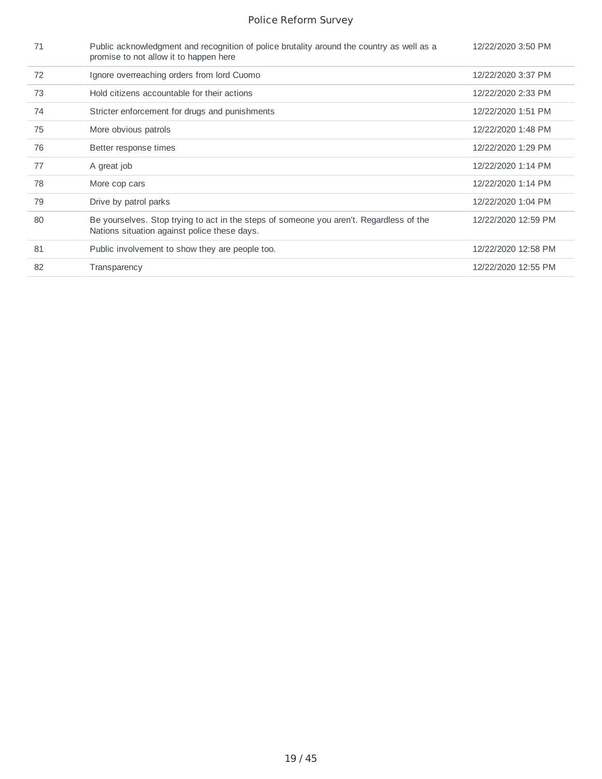| 71 | Public acknowledgment and recognition of police brutality around the country as well as a<br>promise to not allow it to happen here     | 12/22/2020 3:50 PM  |
|----|-----------------------------------------------------------------------------------------------------------------------------------------|---------------------|
| 72 | Ignore overreaching orders from lord Cuomo                                                                                              | 12/22/2020 3:37 PM  |
| 73 | Hold citizens accountable for their actions                                                                                             | 12/22/2020 2:33 PM  |
| 74 | Stricter enforcement for drugs and punishments                                                                                          | 12/22/2020 1:51 PM  |
| 75 | More obvious patrols                                                                                                                    | 12/22/2020 1:48 PM  |
| 76 | Better response times                                                                                                                   | 12/22/2020 1:29 PM  |
| 77 | A great job                                                                                                                             | 12/22/2020 1:14 PM  |
| 78 | More cop cars                                                                                                                           | 12/22/2020 1:14 PM  |
| 79 | Drive by patrol parks                                                                                                                   | 12/22/2020 1:04 PM  |
| 80 | Be yourselves. Stop trying to act in the steps of someone you aren't. Regardless of the<br>Nations situation against police these days. | 12/22/2020 12:59 PM |
| 81 | Public involvement to show they are people too.                                                                                         | 12/22/2020 12:58 PM |
| 82 | Transparency                                                                                                                            | 12/22/2020 12:55 PM |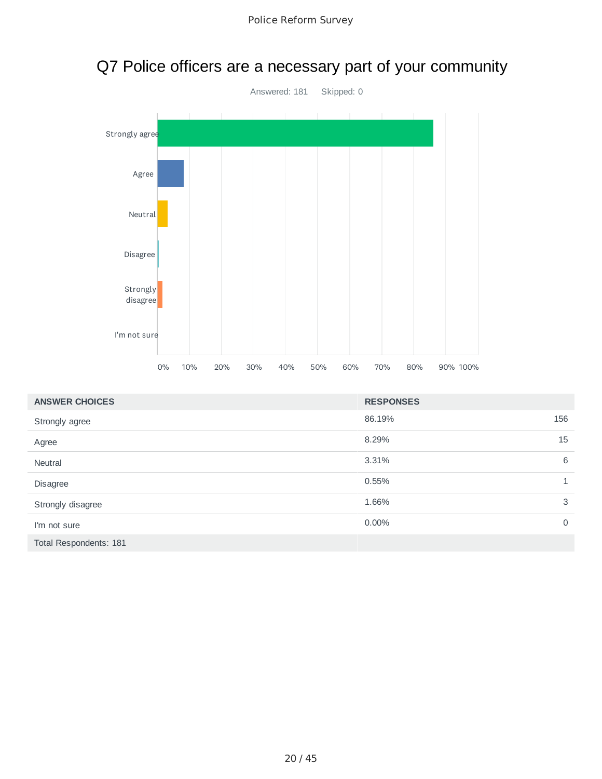

# Q7 Police officers are a necessary part of your community

| <b>ANSWER CHOICES</b>  | <b>RESPONSES</b> |              |
|------------------------|------------------|--------------|
| Strongly agree         | 86.19%           | 156          |
| Agree                  | 8.29%            | 15           |
| Neutral                | 3.31%            | 6            |
| Disagree               | 0.55%            | $\mathbf{1}$ |
| Strongly disagree      | 1.66%            | 3            |
| I'm not sure           | $0.00\%$         | $\mathbf 0$  |
| Total Respondents: 181 |                  |              |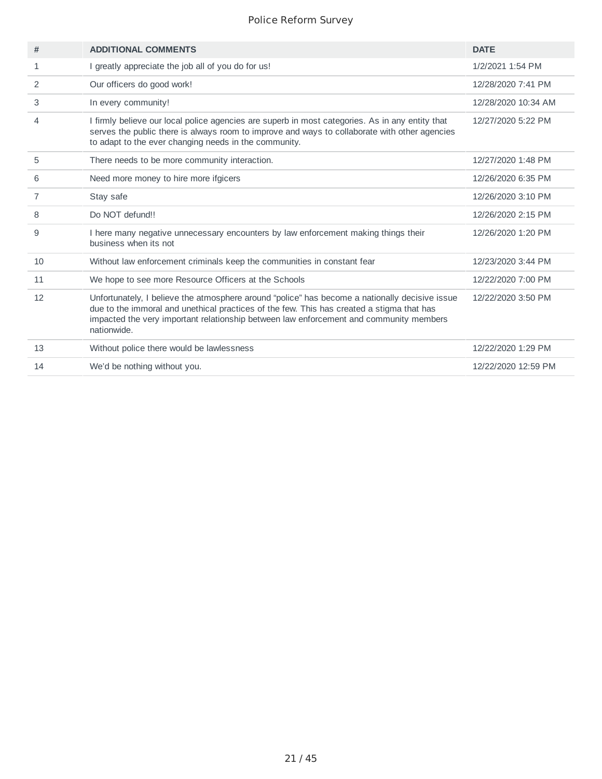| #  | <b>ADDITIONAL COMMENTS</b>                                                                                                                                                                                                                                                                           | <b>DATE</b>         |
|----|------------------------------------------------------------------------------------------------------------------------------------------------------------------------------------------------------------------------------------------------------------------------------------------------------|---------------------|
| 1  | I greatly appreciate the job all of you do for us!                                                                                                                                                                                                                                                   | 1/2/2021 1:54 PM    |
| 2  | Our officers do good work!                                                                                                                                                                                                                                                                           | 12/28/2020 7:41 PM  |
| 3  | In every community!                                                                                                                                                                                                                                                                                  | 12/28/2020 10:34 AM |
| 4  | I firmly believe our local police agencies are superb in most categories. As in any entity that<br>serves the public there is always room to improve and ways to collaborate with other agencies<br>to adapt to the ever changing needs in the community.                                            | 12/27/2020 5:22 PM  |
| 5  | There needs to be more community interaction.                                                                                                                                                                                                                                                        | 12/27/2020 1:48 PM  |
| 6  | Need more money to hire more ifgicers                                                                                                                                                                                                                                                                | 12/26/2020 6:35 PM  |
| 7  | Stay safe                                                                                                                                                                                                                                                                                            | 12/26/2020 3:10 PM  |
| 8  | Do NOT defund!!                                                                                                                                                                                                                                                                                      | 12/26/2020 2:15 PM  |
| 9  | I here many negative unnecessary encounters by law enforcement making things their<br>business when its not                                                                                                                                                                                          | 12/26/2020 1:20 PM  |
| 10 | Without law enforcement criminals keep the communities in constant fear                                                                                                                                                                                                                              | 12/23/2020 3:44 PM  |
| 11 | We hope to see more Resource Officers at the Schools                                                                                                                                                                                                                                                 | 12/22/2020 7:00 PM  |
| 12 | Unfortunately, I believe the atmosphere around "police" has become a nationally decisive issue<br>due to the immoral and unethical practices of the few. This has created a stigma that has<br>impacted the very important relationship between law enforcement and community members<br>nationwide. | 12/22/2020 3:50 PM  |
| 13 | Without police there would be lawlessness                                                                                                                                                                                                                                                            | 12/22/2020 1:29 PM  |
| 14 | We'd be nothing without you.                                                                                                                                                                                                                                                                         | 12/22/2020 12:59 PM |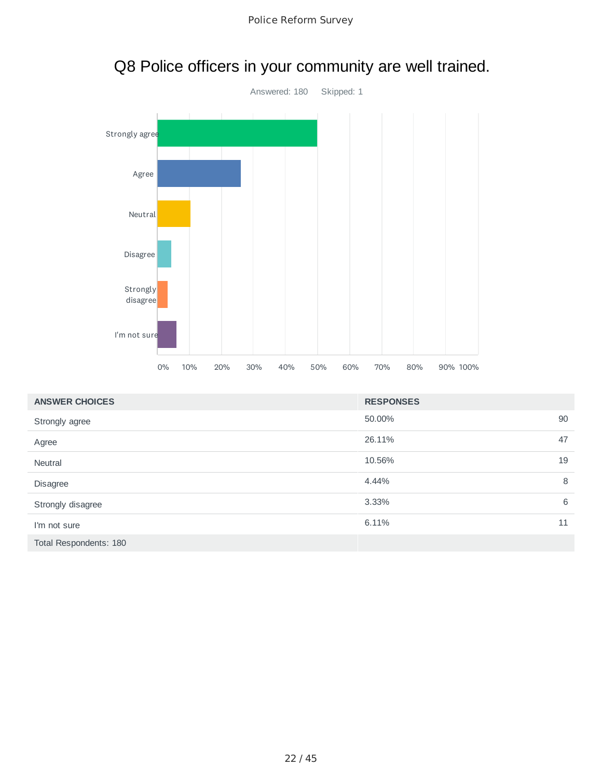

#### 50.00% 90 26.11% 47 10.56% 19 4.44% 8 3.33% 6 6.11% 11 Total Respondents: 180 **ANSWER CHOICES RESPONSES** Strongly agree Agree Neutral Disagree Strongly disagree I'm not sure

### Q8 Police officers in your community are well trained.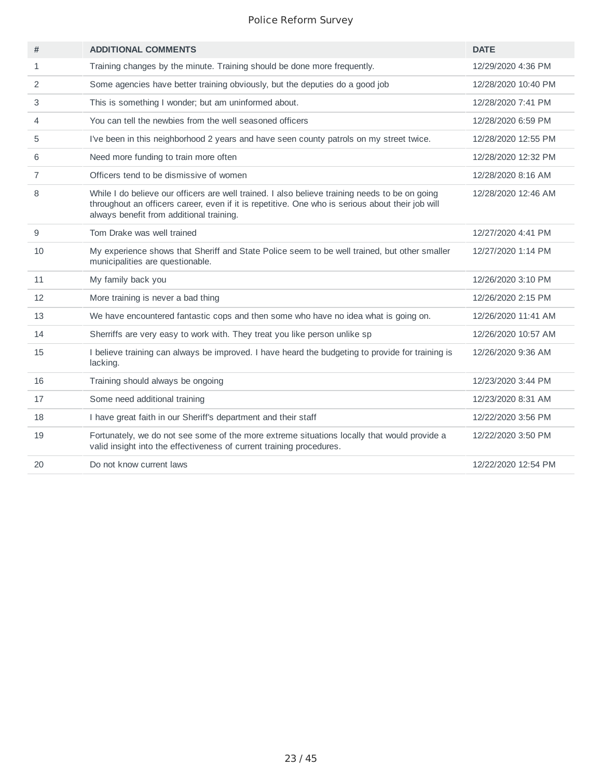| #              | <b>ADDITIONAL COMMENTS</b>                                                                                                                                                                                                                     | <b>DATE</b>         |
|----------------|------------------------------------------------------------------------------------------------------------------------------------------------------------------------------------------------------------------------------------------------|---------------------|
| $\mathbf{1}$   | Training changes by the minute. Training should be done more frequently.                                                                                                                                                                       | 12/29/2020 4:36 PM  |
| 2              | Some agencies have better training obviously, but the deputies do a good job                                                                                                                                                                   | 12/28/2020 10:40 PM |
| 3              | This is something I wonder; but am uninformed about.                                                                                                                                                                                           | 12/28/2020 7:41 PM  |
| 4              | You can tell the newbies from the well seasoned officers                                                                                                                                                                                       | 12/28/2020 6:59 PM  |
| 5              | I've been in this neighborhood 2 years and have seen county patrols on my street twice.                                                                                                                                                        | 12/28/2020 12:55 PM |
| 6              | Need more funding to train more often                                                                                                                                                                                                          | 12/28/2020 12:32 PM |
| $\overline{7}$ | Officers tend to be dismissive of women                                                                                                                                                                                                        | 12/28/2020 8:16 AM  |
| 8              | While I do believe our officers are well trained. I also believe training needs to be on going<br>throughout an officers career, even if it is repetitive. One who is serious about their job will<br>always benefit from additional training. | 12/28/2020 12:46 AM |
| 9              | Tom Drake was well trained                                                                                                                                                                                                                     | 12/27/2020 4:41 PM  |
| 10             | My experience shows that Sheriff and State Police seem to be well trained, but other smaller<br>municipalities are questionable.                                                                                                               | 12/27/2020 1:14 PM  |
| 11             | My family back you                                                                                                                                                                                                                             | 12/26/2020 3:10 PM  |
| 12             | More training is never a bad thing                                                                                                                                                                                                             | 12/26/2020 2:15 PM  |
| 13             | We have encountered fantastic cops and then some who have no idea what is going on.                                                                                                                                                            | 12/26/2020 11:41 AM |
| 14             | Sherriffs are very easy to work with. They treat you like person unlike sp                                                                                                                                                                     | 12/26/2020 10:57 AM |
| 15             | I believe training can always be improved. I have heard the budgeting to provide for training is<br>lacking.                                                                                                                                   | 12/26/2020 9:36 AM  |
| 16             | Training should always be ongoing                                                                                                                                                                                                              | 12/23/2020 3:44 PM  |
| 17             | Some need additional training                                                                                                                                                                                                                  | 12/23/2020 8:31 AM  |
| 18             | I have great faith in our Sheriff's department and their staff                                                                                                                                                                                 | 12/22/2020 3:56 PM  |
| 19             | Fortunately, we do not see some of the more extreme situations locally that would provide a<br>valid insight into the effectiveness of current training procedures.                                                                            | 12/22/2020 3:50 PM  |
| 20             | Do not know current laws                                                                                                                                                                                                                       | 12/22/2020 12:54 PM |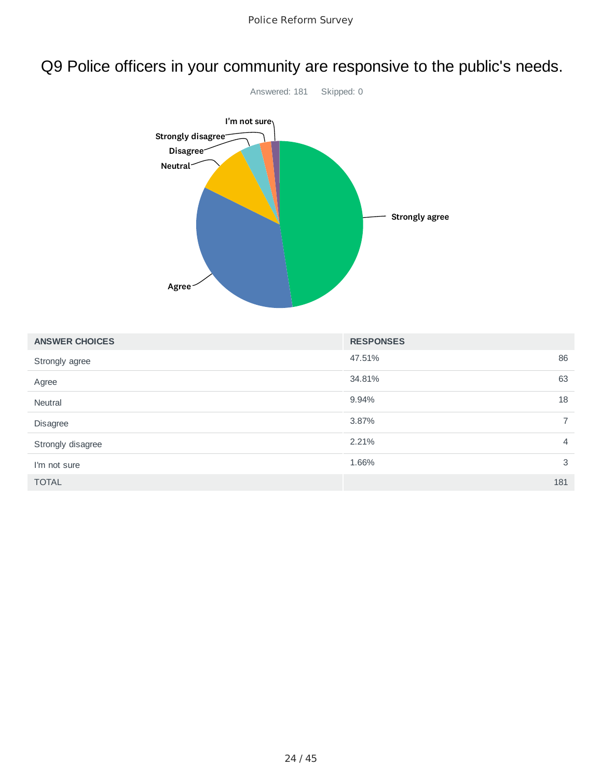### Q9 Police officers in your community are responsive to the public's needs.



| <b>ANSWER CHOICES</b> | <b>RESPONSES</b> |                |
|-----------------------|------------------|----------------|
| Strongly agree        | 47.51%           | 86             |
| Agree                 | 34.81%           | 63             |
| Neutral               | 9.94%            | 18             |
| Disagree              | 3.87%            | $\overline{7}$ |
| Strongly disagree     | 2.21%            | $\overline{4}$ |
| I'm not sure          | 1.66%            | 3              |
| <b>TOTAL</b>          |                  | 181            |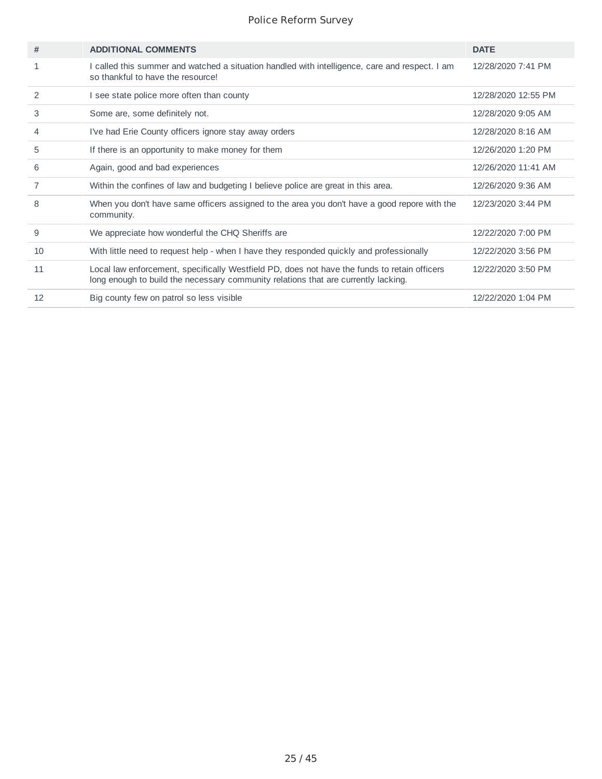| #  | <b>ADDITIONAL COMMENTS</b>                                                                                                                                                         | <b>DATE</b>         |
|----|------------------------------------------------------------------------------------------------------------------------------------------------------------------------------------|---------------------|
| 1  | I called this summer and watched a situation handled with intelligence, care and respect. I am<br>so thankful to have the resource!                                                | 12/28/2020 7:41 PM  |
| 2  | I see state police more often than county                                                                                                                                          | 12/28/2020 12:55 PM |
| 3  | Some are, some definitely not.                                                                                                                                                     | 12/28/2020 9:05 AM  |
| 4  | I've had Erie County officers ignore stay away orders                                                                                                                              | 12/28/2020 8:16 AM  |
| 5  | If there is an opportunity to make money for them                                                                                                                                  | 12/26/2020 1:20 PM  |
| 6  | Again, good and bad experiences                                                                                                                                                    | 12/26/2020 11:41 AM |
| 7  | Within the confines of law and budgeting I believe police are great in this area.                                                                                                  | 12/26/2020 9:36 AM  |
| 8  | When you don't have same officers assigned to the area you don't have a good repore with the<br>community.                                                                         | 12/23/2020 3:44 PM  |
| 9  | We appreciate how wonderful the CHQ Sheriffs are.                                                                                                                                  | 12/22/2020 7:00 PM  |
| 10 | With little need to request help - when I have they responded quickly and professionally                                                                                           | 12/22/2020 3:56 PM  |
| 11 | Local law enforcement, specifically Westfield PD, does not have the funds to retain officers<br>long enough to build the necessary community relations that are currently lacking. | 12/22/2020 3:50 PM  |
| 12 | Big county few on patrol so less visible                                                                                                                                           | 12/22/2020 1:04 PM  |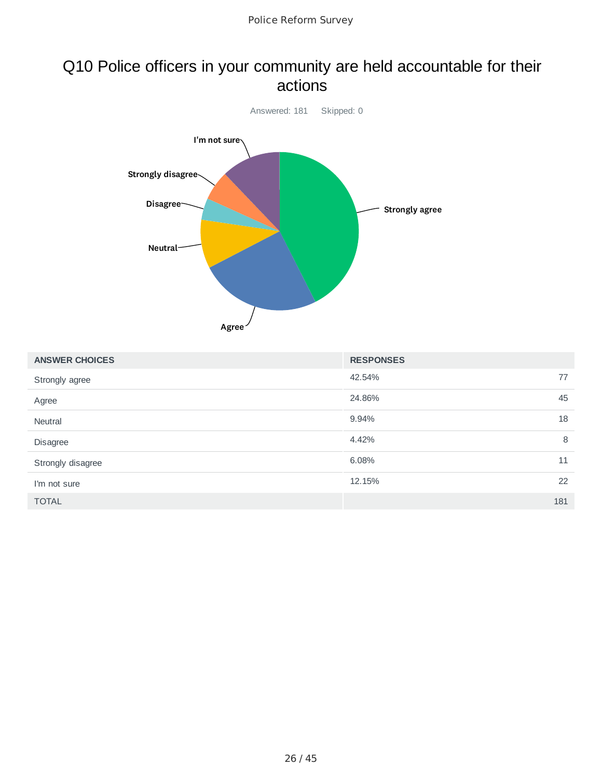### Q10 Police officers in your community are held accountable for their actions



| <b>ANSWER CHOICES</b> | <b>RESPONSES</b> |     |
|-----------------------|------------------|-----|
| Strongly agree        | 42.54%           | 77  |
| Agree                 | 24.86%           | 45  |
| <b>Neutral</b>        | 9.94%            | 18  |
| Disagree              | 4.42%            | 8   |
| Strongly disagree     | 6.08%            | 11  |
| I'm not sure          | 12.15%           | 22  |
| <b>TOTAL</b>          |                  | 181 |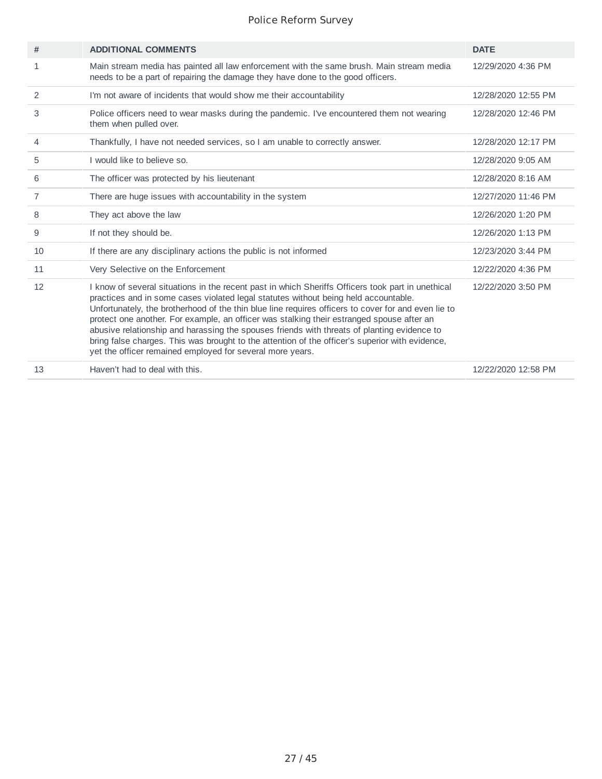| #  | <b>ADDITIONAL COMMENTS</b>                                                                                                                                                                                                                                                                                                                                                                                                                                                                                                                                                                                                                                  | <b>DATE</b>         |
|----|-------------------------------------------------------------------------------------------------------------------------------------------------------------------------------------------------------------------------------------------------------------------------------------------------------------------------------------------------------------------------------------------------------------------------------------------------------------------------------------------------------------------------------------------------------------------------------------------------------------------------------------------------------------|---------------------|
| 1  | Main stream media has painted all law enforcement with the same brush. Main stream media<br>needs to be a part of repairing the damage they have done to the good officers.                                                                                                                                                                                                                                                                                                                                                                                                                                                                                 | 12/29/2020 4:36 PM  |
| 2  | I'm not aware of incidents that would show me their accountability                                                                                                                                                                                                                                                                                                                                                                                                                                                                                                                                                                                          | 12/28/2020 12:55 PM |
| 3  | Police officers need to wear masks during the pandemic. I've encountered them not wearing<br>them when pulled over.                                                                                                                                                                                                                                                                                                                                                                                                                                                                                                                                         | 12/28/2020 12:46 PM |
| 4  | Thankfully, I have not needed services, so I am unable to correctly answer.                                                                                                                                                                                                                                                                                                                                                                                                                                                                                                                                                                                 | 12/28/2020 12:17 PM |
| 5  | I would like to believe so.                                                                                                                                                                                                                                                                                                                                                                                                                                                                                                                                                                                                                                 | 12/28/2020 9:05 AM  |
| 6  | The officer was protected by his lieutenant                                                                                                                                                                                                                                                                                                                                                                                                                                                                                                                                                                                                                 | 12/28/2020 8:16 AM  |
| 7  | There are huge issues with accountability in the system                                                                                                                                                                                                                                                                                                                                                                                                                                                                                                                                                                                                     | 12/27/2020 11:46 PM |
| 8  | They act above the law                                                                                                                                                                                                                                                                                                                                                                                                                                                                                                                                                                                                                                      | 12/26/2020 1:20 PM  |
| 9  | If not they should be.                                                                                                                                                                                                                                                                                                                                                                                                                                                                                                                                                                                                                                      | 12/26/2020 1:13 PM  |
| 10 | If there are any disciplinary actions the public is not informed                                                                                                                                                                                                                                                                                                                                                                                                                                                                                                                                                                                            | 12/23/2020 3:44 PM  |
| 11 | Very Selective on the Enforcement                                                                                                                                                                                                                                                                                                                                                                                                                                                                                                                                                                                                                           | 12/22/2020 4:36 PM  |
| 12 | I know of several situations in the recent past in which Sheriffs Officers took part in unethical<br>practices and in some cases violated legal statutes without being held accountable.<br>Unfortunately, the brotherhood of the thin blue line requires officers to cover for and even lie to<br>protect one another. For example, an officer was stalking their estranged spouse after an<br>abusive relationship and harassing the spouses friends with threats of planting evidence to<br>bring false charges. This was brought to the attention of the officer's superior with evidence,<br>yet the officer remained employed for several more years. | 12/22/2020 3:50 PM  |
| 13 | Haven't had to deal with this.                                                                                                                                                                                                                                                                                                                                                                                                                                                                                                                                                                                                                              | 12/22/2020 12:58 PM |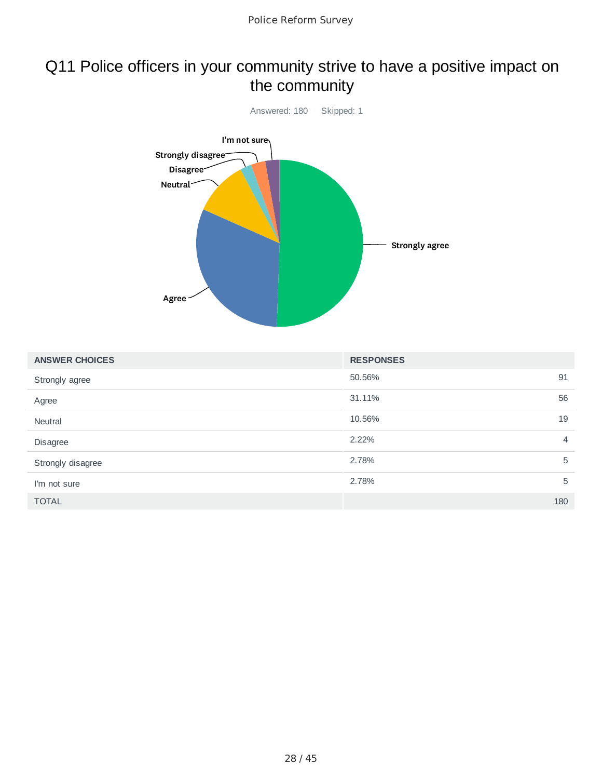### Q11 Police officers in your community strive to have a positive impact on the community



| <b>ANSWER CHOICES</b> | <b>RESPONSES</b> |                |
|-----------------------|------------------|----------------|
| Strongly agree        | 50.56%           | 91             |
| Agree                 | 31.11%           | 56             |
| Neutral               | 10.56%           | 19             |
| Disagree              | 2.22%            | $\overline{4}$ |
| Strongly disagree     | 2.78%            | 5              |
| I'm not sure          | 2.78%            | 5              |
| <b>TOTAL</b>          |                  | 180            |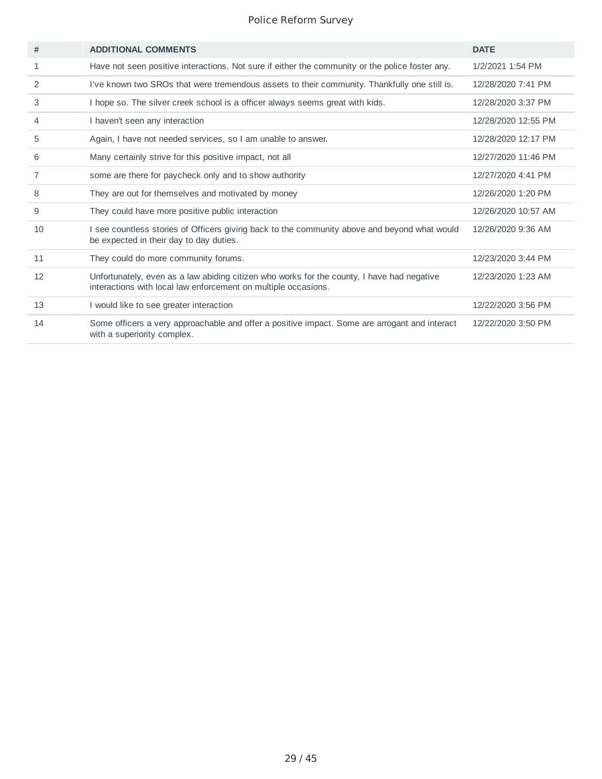| #  | <b>ADDITIONAL COMMENTS</b>                                                                                                                                   | <b>DATE</b>         |
|----|--------------------------------------------------------------------------------------------------------------------------------------------------------------|---------------------|
| 1  | Have not seen positive interactions. Not sure if either the community or the police foster any.                                                              | 1/2/2021 1:54 PM    |
| 2  | I've known two SROs that were tremendous assets to their community. Thankfully one still is.                                                                 | 12/28/2020 7:41 PM  |
| 3  | I hope so. The silver creek school is a officer always seems great with kids.                                                                                | 12/28/2020 3:37 PM  |
| 4  | I haven't seen any interaction                                                                                                                               | 12/28/2020 12:55 PM |
| 5  | Again, I have not needed services, so I am unable to answer.                                                                                                 | 12/28/2020 12:17 PM |
| 6  | Many certainly strive for this positive impact, not all                                                                                                      | 12/27/2020 11:46 PM |
| 7  | some are there for paycheck only and to show authority                                                                                                       | 12/27/2020 4:41 PM  |
| 8  | They are out for themselves and motivated by money                                                                                                           | 12/26/2020 1:20 PM  |
| 9  | They could have more positive public interaction                                                                                                             | 12/26/2020 10:57 AM |
| 10 | I see countless stories of Officers giving back to the community above and beyond what would<br>be expected in their day to day duties.                      | 12/26/2020 9:36 AM  |
| 11 | They could do more community forums.                                                                                                                         | 12/23/2020 3:44 PM  |
| 12 | Unfortunately, even as a law abiding citizen who works for the county, I have had negative<br>interactions with local law enforcement on multiple occasions. | 12/23/2020 1:23 AM  |
| 13 | I would like to see greater interaction                                                                                                                      | 12/22/2020 3:56 PM  |
| 14 | Some officers a very approachable and offer a positive impact. Some are arrogant and interact<br>with a superiority complex.                                 | 12/22/2020 3:50 PM  |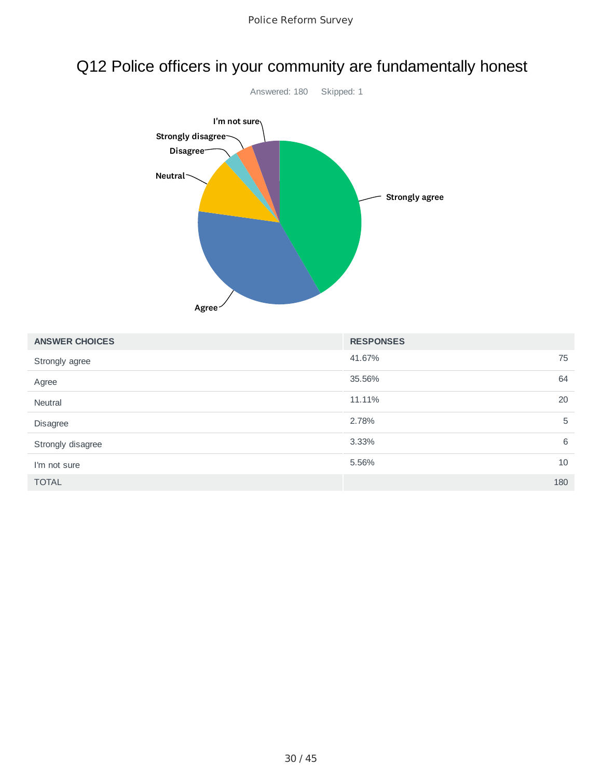### Q12 Police officers in your community are fundamentally honest



| <b>ANSWER CHOICES</b> | <b>RESPONSES</b> |     |
|-----------------------|------------------|-----|
| Strongly agree        | 41.67%           | 75  |
| Agree                 | 35.56%           | 64  |
| Neutral               | 11.11%           | 20  |
| Disagree              | 2.78%            | 5   |
| Strongly disagree     | 3.33%            | 6   |
| I'm not sure          | 5.56%            | 10  |
| <b>TOTAL</b>          |                  | 180 |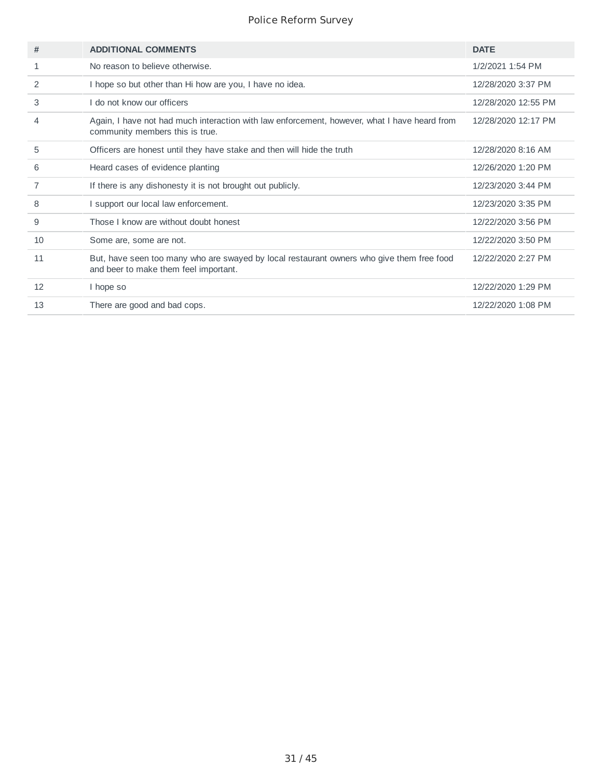| #  | <b>ADDITIONAL COMMENTS</b>                                                                                                         | <b>DATE</b>         |
|----|------------------------------------------------------------------------------------------------------------------------------------|---------------------|
| 1  | No reason to believe otherwise.                                                                                                    | 1/2/2021 1:54 PM    |
| 2  | I hope so but other than Hi how are you, I have no idea.                                                                           | 12/28/2020 3:37 PM  |
| 3  | I do not know our officers                                                                                                         | 12/28/2020 12:55 PM |
| 4  | Again, I have not had much interaction with law enforcement, however, what I have heard from<br>community members this is true.    | 12/28/2020 12:17 PM |
| 5  | Officers are honest until they have stake and then will hide the truth                                                             | 12/28/2020 8:16 AM  |
| 6  | Heard cases of evidence planting                                                                                                   | 12/26/2020 1:20 PM  |
| 7  | If there is any dishonesty it is not brought out publicly.                                                                         | 12/23/2020 3:44 PM  |
| 8  | I support our local law enforcement.                                                                                               | 12/23/2020 3:35 PM  |
| 9  | Those I know are without doubt honest                                                                                              | 12/22/2020 3:56 PM  |
| 10 | Some are, some are not.                                                                                                            | 12/22/2020 3:50 PM  |
| 11 | But, have seen too many who are swayed by local restaurant owners who give them free food<br>and beer to make them feel important. | 12/22/2020 2:27 PM  |
| 12 | I hope so                                                                                                                          | 12/22/2020 1:29 PM  |
| 13 | There are good and bad cops.                                                                                                       | 12/22/2020 1:08 PM  |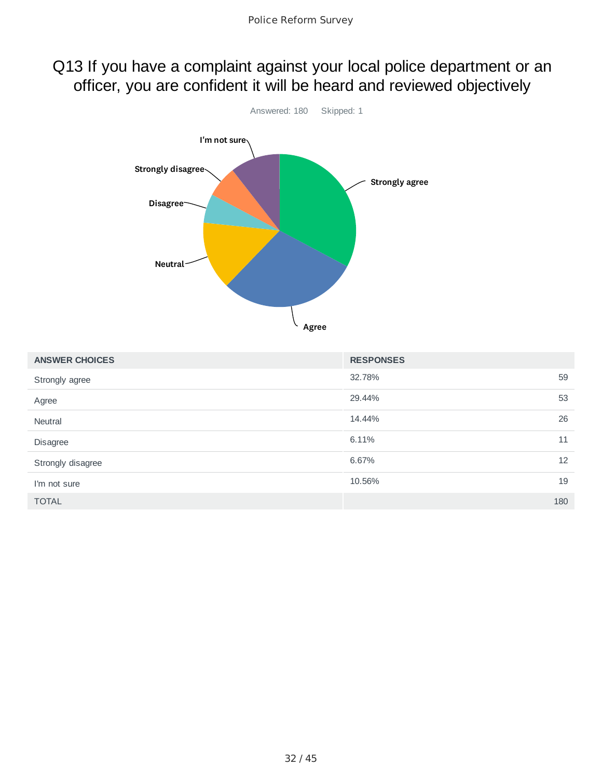### Q13 If you have a complaint against your local police department or an officer, you are confident it will be heard and reviewed objectively



| <b>ANSWER CHOICES</b> | <b>RESPONSES</b> |    |
|-----------------------|------------------|----|
| Strongly agree        | 32.78%           | 59 |
| Agree                 | 29.44%           | 53 |
| <b>Neutral</b>        | 14.44%           | 26 |
| Disagree              | 11<br>6.11%      |    |
| Strongly disagree     | 6.67%            | 12 |
| I'm not sure          | 10.56%           | 19 |
| <b>TOTAL</b>          | 180              |    |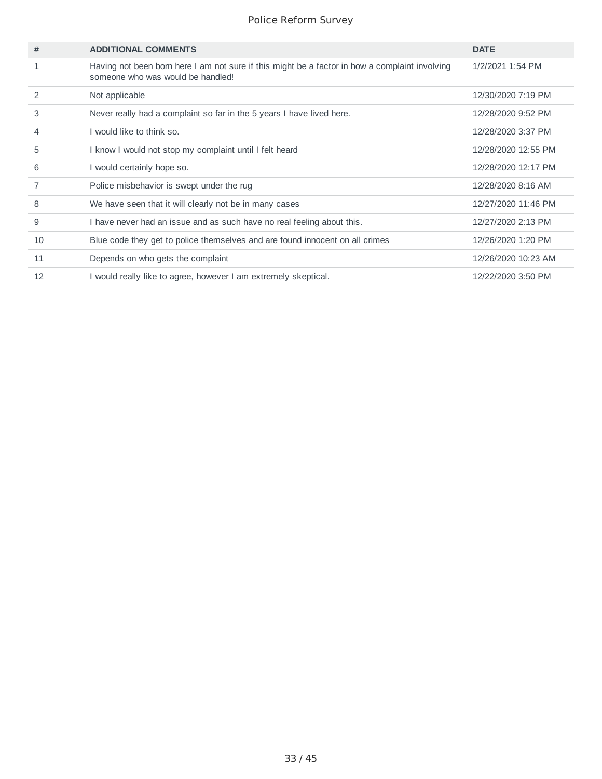| #  | <b>ADDITIONAL COMMENTS</b>                                                                                                          | <b>DATE</b>         |
|----|-------------------------------------------------------------------------------------------------------------------------------------|---------------------|
| 1  | Having not been born here I am not sure if this might be a factor in how a complaint involving<br>someone who was would be handled! | 1/2/2021 1:54 PM    |
| 2  | Not applicable                                                                                                                      | 12/30/2020 7:19 PM  |
| 3  | Never really had a complaint so far in the 5 years I have lived here.                                                               | 12/28/2020 9:52 PM  |
| 4  | I would like to think so.                                                                                                           | 12/28/2020 3:37 PM  |
| 5  | I know I would not stop my complaint until I felt heard                                                                             | 12/28/2020 12:55 PM |
| 6  | I would certainly hope so.                                                                                                          | 12/28/2020 12:17 PM |
|    | Police misbehavior is swept under the rug                                                                                           | 12/28/2020 8:16 AM  |
| 8  | We have seen that it will clearly not be in many cases                                                                              | 12/27/2020 11:46 PM |
| 9  | I have never had an issue and as such have no real feeling about this.                                                              | 12/27/2020 2:13 PM  |
| 10 | Blue code they get to police themselves and are found innocent on all crimes                                                        | 12/26/2020 1:20 PM  |
| 11 | Depends on who gets the complaint                                                                                                   | 12/26/2020 10:23 AM |
| 12 | I would really like to agree, however I am extremely skeptical.                                                                     | 12/22/2020 3:50 PM  |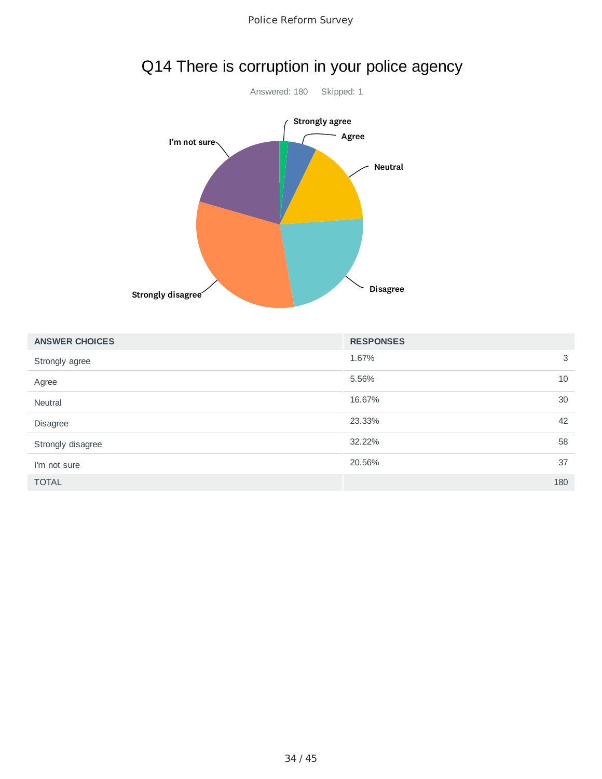

| Police Reform Survey |  |
|----------------------|--|
|----------------------|--|

# Q14 There is corruption in your police agency

| <b>ANSWER CHOICES</b> | <b>RESPONSES</b> |     |
|-----------------------|------------------|-----|
| Strongly agree        | 1.67%            | 3   |
| Agree                 | 5.56%            | 10  |
| <b>Neutral</b>        | 16.67%           | 30  |
| Disagree              | 23.33%           | 42  |
| Strongly disagree     | 32.22%           | 58  |
| I'm not sure          | 20.56%           | 37  |
| <b>TOTAL</b>          |                  | 180 |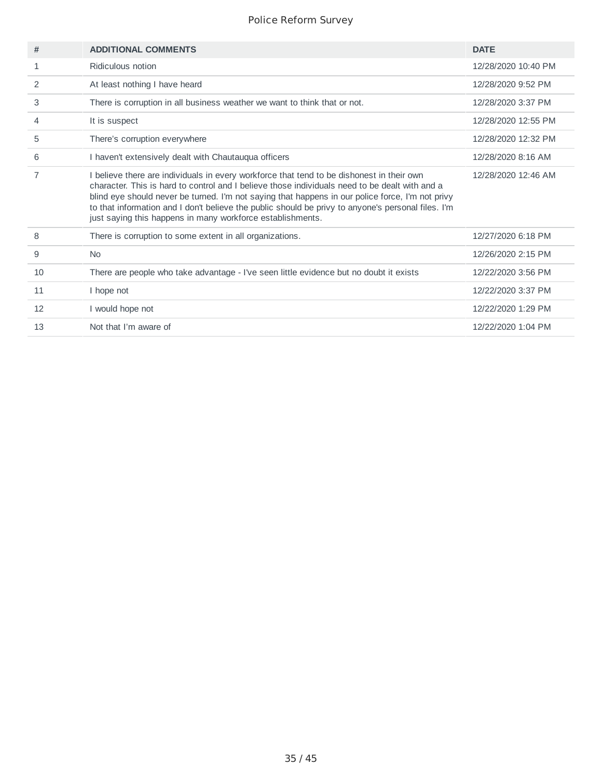| #  | <b>ADDITIONAL COMMENTS</b>                                                                                                                                                                                                                                                                                                                                                                                                                                          | <b>DATE</b>         |
|----|---------------------------------------------------------------------------------------------------------------------------------------------------------------------------------------------------------------------------------------------------------------------------------------------------------------------------------------------------------------------------------------------------------------------------------------------------------------------|---------------------|
| 1  | Ridiculous notion                                                                                                                                                                                                                                                                                                                                                                                                                                                   | 12/28/2020 10:40 PM |
| 2  | At least nothing I have heard                                                                                                                                                                                                                                                                                                                                                                                                                                       | 12/28/2020 9:52 PM  |
| 3  | There is corruption in all business weather we want to think that or not.                                                                                                                                                                                                                                                                                                                                                                                           | 12/28/2020 3:37 PM  |
| 4  | It is suspect                                                                                                                                                                                                                                                                                                                                                                                                                                                       | 12/28/2020 12:55 PM |
| 5  | There's corruption everywhere                                                                                                                                                                                                                                                                                                                                                                                                                                       | 12/28/2020 12:32 PM |
| 6  | I haven't extensively dealt with Chautauqua officers                                                                                                                                                                                                                                                                                                                                                                                                                | 12/28/2020 8:16 AM  |
| 7  | I believe there are individuals in every workforce that tend to be dishonest in their own<br>character. This is hard to control and I believe those individuals need to be dealt with and a<br>blind eye should never be turned. I'm not saying that happens in our police force, I'm not privy<br>to that information and I don't believe the public should be privy to anyone's personal files. I'm<br>just saying this happens in many workforce establishments. | 12/28/2020 12:46 AM |
| 8  | There is corruption to some extent in all organizations.                                                                                                                                                                                                                                                                                                                                                                                                            | 12/27/2020 6:18 PM  |
| 9  | <b>No</b>                                                                                                                                                                                                                                                                                                                                                                                                                                                           | 12/26/2020 2:15 PM  |
| 10 | There are people who take advantage - I've seen little evidence but no doubt it exists                                                                                                                                                                                                                                                                                                                                                                              | 12/22/2020 3:56 PM  |
| 11 | I hope not                                                                                                                                                                                                                                                                                                                                                                                                                                                          | 12/22/2020 3:37 PM  |
| 12 | I would hope not                                                                                                                                                                                                                                                                                                                                                                                                                                                    | 12/22/2020 1:29 PM  |
| 13 | Not that I'm aware of                                                                                                                                                                                                                                                                                                                                                                                                                                               | 12/22/2020 1:04 PM  |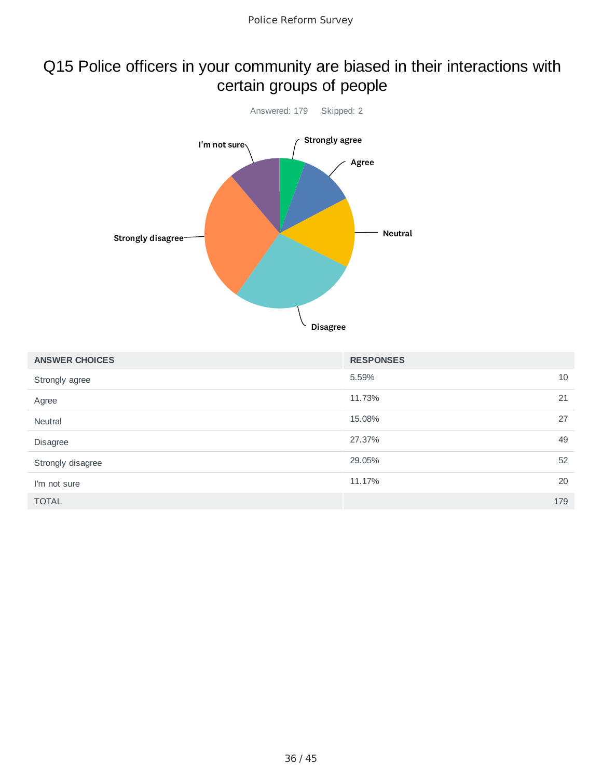### Q15 Police officers in your community are biased in their interactions with certain groups of people



| <b>ANSWER CHOICES</b> | <b>RESPONSES</b> |     |
|-----------------------|------------------|-----|
| Strongly agree        | 5.59%            | 10  |
| Agree                 | 11.73%           | 21  |
| Neutral               | 15.08%           | 27  |
| <b>Disagree</b>       | 27.37%           | 49  |
| Strongly disagree     | 29.05%           | 52  |
| I'm not sure          | 11.17%           | 20  |
| <b>TOTAL</b>          |                  | 179 |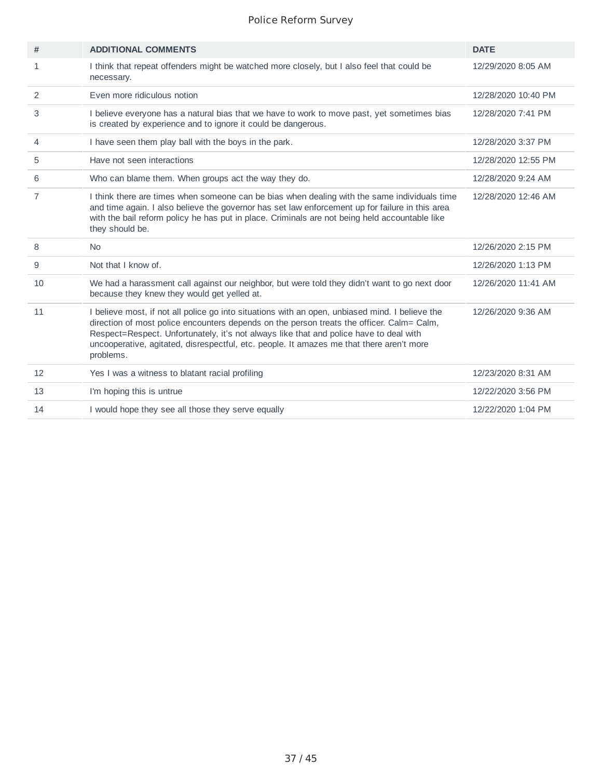| #  | <b>ADDITIONAL COMMENTS</b>                                                                                                                                                                                                                                                                                                                                                                      | <b>DATE</b>         |
|----|-------------------------------------------------------------------------------------------------------------------------------------------------------------------------------------------------------------------------------------------------------------------------------------------------------------------------------------------------------------------------------------------------|---------------------|
| 1  | I think that repeat offenders might be watched more closely, but I also feel that could be<br>necessary.                                                                                                                                                                                                                                                                                        | 12/29/2020 8:05 AM  |
| 2  | Even more ridiculous notion                                                                                                                                                                                                                                                                                                                                                                     | 12/28/2020 10:40 PM |
| 3  | I believe everyone has a natural bias that we have to work to move past, yet sometimes bias<br>is created by experience and to ignore it could be dangerous.                                                                                                                                                                                                                                    | 12/28/2020 7:41 PM  |
| 4  | I have seen them play ball with the boys in the park.                                                                                                                                                                                                                                                                                                                                           | 12/28/2020 3:37 PM  |
| 5  | Have not seen interactions                                                                                                                                                                                                                                                                                                                                                                      | 12/28/2020 12:55 PM |
| 6  | Who can blame them. When groups act the way they do.                                                                                                                                                                                                                                                                                                                                            | 12/28/2020 9:24 AM  |
| 7  | I think there are times when someone can be bias when dealing with the same individuals time<br>and time again. I also believe the governor has set law enforcement up for failure in this area<br>with the bail reform policy he has put in place. Criminals are not being held accountable like<br>they should be.                                                                            | 12/28/2020 12:46 AM |
| 8  | <b>No</b>                                                                                                                                                                                                                                                                                                                                                                                       | 12/26/2020 2:15 PM  |
| 9  | Not that I know of.                                                                                                                                                                                                                                                                                                                                                                             | 12/26/2020 1:13 PM  |
| 10 | We had a harassment call against our neighbor, but were told they didn't want to go next door<br>because they knew they would get yelled at.                                                                                                                                                                                                                                                    | 12/26/2020 11:41 AM |
| 11 | I believe most, if not all police go into situations with an open, unbiased mind. I believe the<br>direction of most police encounters depends on the person treats the officer. Calm= Calm,<br>Respect=Respect. Unfortunately, it's not always like that and police have to deal with<br>uncooperative, agitated, disrespectful, etc. people. It amazes me that there aren't more<br>problems. | 12/26/2020 9:36 AM  |
| 12 | Yes I was a witness to blatant racial profiling                                                                                                                                                                                                                                                                                                                                                 | 12/23/2020 8:31 AM  |
| 13 | I'm hoping this is untrue                                                                                                                                                                                                                                                                                                                                                                       | 12/22/2020 3:56 PM  |
| 14 | I would hope they see all those they serve equally                                                                                                                                                                                                                                                                                                                                              | 12/22/2020 1:04 PM  |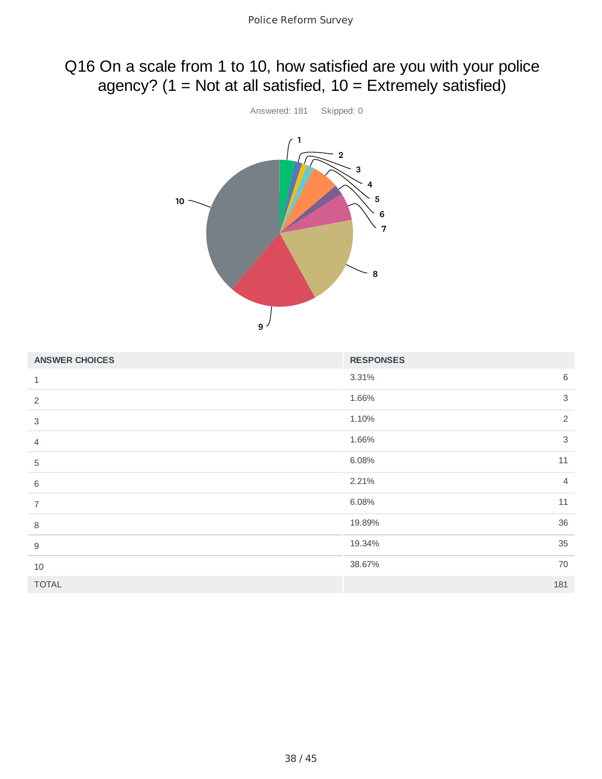### Q16 On a scale from 1 to 10, how satisfied are you with your police agency? ( $1 = Not$  at all satisfied,  $10 = Extremely$  satisfied)



| <b>ANSWER CHOICES</b> | <b>RESPONSES</b>        |
|-----------------------|-------------------------|
| $\mathbf{1}$          | $6\,$<br>3.31%          |
| 2                     | $\mathsf 3$<br>1.66%    |
| 3                     | $\overline{2}$<br>1.10% |
| $\overline{4}$        | $\mathbf{3}$<br>1.66%   |
| $\mathbf 5$           | $11\,$<br>6.08%         |
| 6                     | 2.21%<br>$\overline{4}$ |
| $\overline{7}$        | 11<br>6.08%             |
| $\, 8$                | 36<br>19.89%            |
| 9                     | 35<br>19.34%            |
| 10                    | 70<br>38.67%            |
| <b>TOTAL</b>          | 181                     |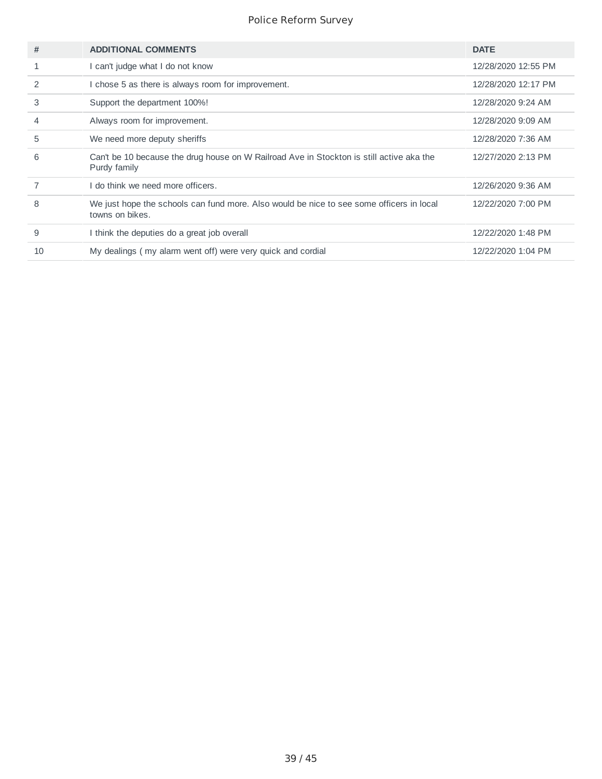| #             | <b>ADDITIONAL COMMENTS</b>                                                                                  | <b>DATE</b>         |
|---------------|-------------------------------------------------------------------------------------------------------------|---------------------|
| $\mathbf{1}$  | can't judge what I do not know                                                                              | 12/28/2020 12:55 PM |
| $\mathcal{P}$ | chose 5 as there is always room for improvement.                                                            | 12/28/2020 12:17 PM |
| 3             | Support the department 100%!                                                                                | 12/28/2020 9:24 AM  |
| 4             | Always room for improvement.                                                                                | 12/28/2020 9:09 AM  |
| 5             | We need more deputy sheriffs                                                                                | 12/28/2020 7:36 AM  |
| 6             | Can't be 10 because the drug house on W Railroad Ave in Stockton is still active aka the<br>Purdy family    | 12/27/2020 2:13 PM  |
|               | do think we need more officers.                                                                             | 12/26/2020 9:36 AM  |
| 8             | We just hope the schools can fund more. Also would be nice to see some officers in local<br>towns on bikes. | 12/22/2020 7:00 PM  |
| 9             | think the deputies do a great job overall                                                                   | 12/22/2020 1:48 PM  |
| 10            | My dealings (my alarm went off) were very quick and cordial                                                 | 12/22/2020 1:04 PM  |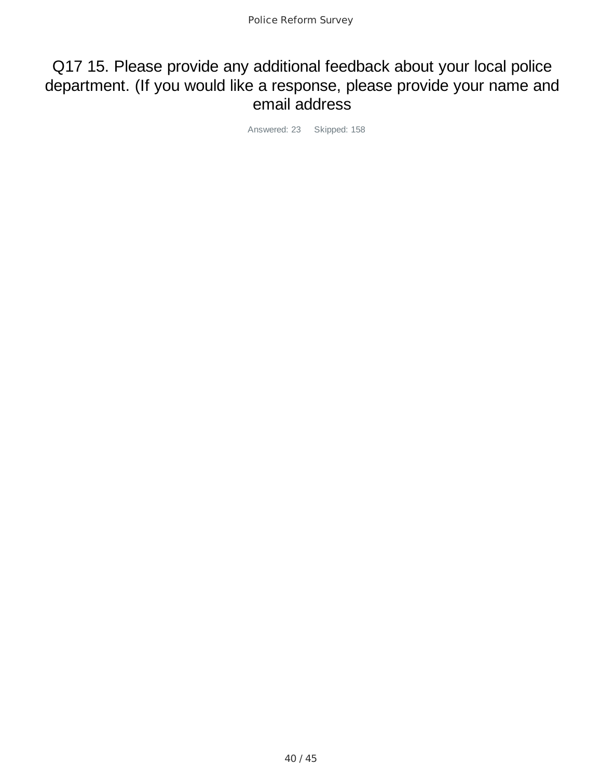### Q17 15. Please provide any additional feedback about your local police department. (If you would like a response, please provide your name and email address

Answered: 23 Skipped: 158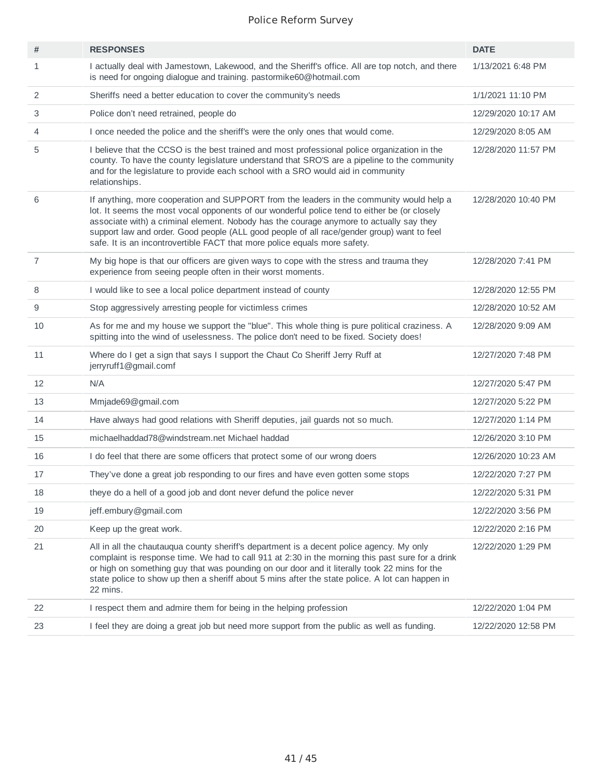| $\#$           | <b>RESPONSES</b>                                                                                                                                                                                                                                                                                                                                                                                                                                               | <b>DATE</b>         |
|----------------|----------------------------------------------------------------------------------------------------------------------------------------------------------------------------------------------------------------------------------------------------------------------------------------------------------------------------------------------------------------------------------------------------------------------------------------------------------------|---------------------|
| $\mathbf{1}$   | I actually deal with Jamestown, Lakewood, and the Sheriff's office. All are top notch, and there<br>is need for ongoing dialogue and training. pastormike60@hotmail.com                                                                                                                                                                                                                                                                                        | 1/13/2021 6:48 PM   |
| 2              | Sheriffs need a better education to cover the community's needs                                                                                                                                                                                                                                                                                                                                                                                                | 1/1/2021 11:10 PM   |
| 3              | Police don't need retrained, people do                                                                                                                                                                                                                                                                                                                                                                                                                         | 12/29/2020 10:17 AM |
| 4              | I once needed the police and the sheriff's were the only ones that would come.                                                                                                                                                                                                                                                                                                                                                                                 | 12/29/2020 8:05 AM  |
| 5              | I believe that the CCSO is the best trained and most professional police organization in the<br>county. To have the county legislature understand that SRO'S are a pipeline to the community<br>and for the legislature to provide each school with a SRO would aid in community<br>relationships.                                                                                                                                                             | 12/28/2020 11:57 PM |
| 6              | If anything, more cooperation and SUPPORT from the leaders in the community would help a<br>lot. It seems the most vocal opponents of our wonderful police tend to either be (or closely<br>associate with) a criminal element. Nobody has the courage anymore to actually say they<br>support law and order. Good people (ALL good people of all race/gender group) want to feel<br>safe. It is an incontrovertible FACT that more police equals more safety. | 12/28/2020 10:40 PM |
| $\overline{7}$ | My big hope is that our officers are given ways to cope with the stress and trauma they<br>experience from seeing people often in their worst moments.                                                                                                                                                                                                                                                                                                         | 12/28/2020 7:41 PM  |
| 8              | I would like to see a local police department instead of county                                                                                                                                                                                                                                                                                                                                                                                                | 12/28/2020 12:55 PM |
| 9              | Stop aggressively arresting people for victimless crimes                                                                                                                                                                                                                                                                                                                                                                                                       | 12/28/2020 10:52 AM |
| 10             | As for me and my house we support the "blue". This whole thing is pure political craziness. A<br>spitting into the wind of uselessness. The police don't need to be fixed. Society does!                                                                                                                                                                                                                                                                       | 12/28/2020 9:09 AM  |
| 11             | Where do I get a sign that says I support the Chaut Co Sheriff Jerry Ruff at<br>jerryruff1@gmail.comf                                                                                                                                                                                                                                                                                                                                                          | 12/27/2020 7:48 PM  |
| 12             | N/A                                                                                                                                                                                                                                                                                                                                                                                                                                                            | 12/27/2020 5:47 PM  |
| 13             | Mmjade69@gmail.com                                                                                                                                                                                                                                                                                                                                                                                                                                             | 12/27/2020 5:22 PM  |
| 14             | Have always had good relations with Sheriff deputies, jail guards not so much.                                                                                                                                                                                                                                                                                                                                                                                 | 12/27/2020 1:14 PM  |
| 15             | michaelhaddad78@windstream.net Michael haddad                                                                                                                                                                                                                                                                                                                                                                                                                  | 12/26/2020 3:10 PM  |
| 16             | I do feel that there are some officers that protect some of our wrong doers                                                                                                                                                                                                                                                                                                                                                                                    | 12/26/2020 10:23 AM |
| 17             | They've done a great job responding to our fires and have even gotten some stops                                                                                                                                                                                                                                                                                                                                                                               | 12/22/2020 7:27 PM  |
| 18             | theye do a hell of a good job and dont never defund the police never                                                                                                                                                                                                                                                                                                                                                                                           | 12/22/2020 5:31 PM  |
| 19             | jeff.embury@gmail.com                                                                                                                                                                                                                                                                                                                                                                                                                                          | 12/22/2020 3:56 PM  |
| 20             | Keep up the great work.                                                                                                                                                                                                                                                                                                                                                                                                                                        | 12/22/2020 2:16 PM  |
| 21             | All in all the chautauqua county sheriff's department is a decent police agency. My only<br>complaint is response time. We had to call 911 at 2:30 in the morning this past sure for a drink<br>or high on something guy that was pounding on our door and it literally took 22 mins for the<br>state police to show up then a sheriff about 5 mins after the state police. A lot can happen in<br>22 mins.                                                    | 12/22/2020 1:29 PM  |
| 22             | I respect them and admire them for being in the helping profession                                                                                                                                                                                                                                                                                                                                                                                             | 12/22/2020 1:04 PM  |
| 23             | I feel they are doing a great job but need more support from the public as well as funding.                                                                                                                                                                                                                                                                                                                                                                    | 12/22/2020 12:58 PM |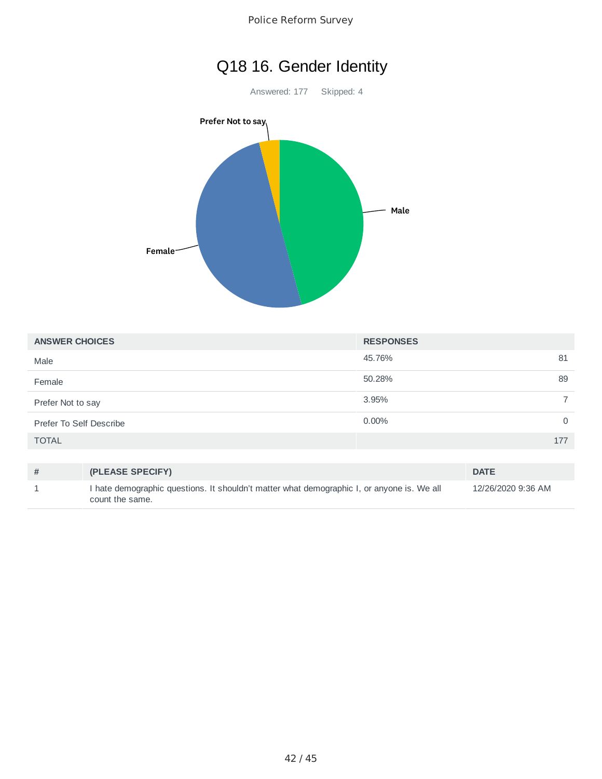# Q18 16. Gender Identity

Answered: 177 Skipped: 4



| <b>ANSWER CHOICES</b>   | <b>RESPONSES</b> |             |
|-------------------------|------------------|-------------|
| Male                    | 45.76%           | 81          |
| Female                  | 50.28%           | 89          |
| Prefer Not to say       | 3.95%            |             |
| Prefer To Self Describe | $0.00\%$         | $\mathbf 0$ |
| <b>TOTAL</b>            | 177              |             |

| (PLEASE SPECIFY)                                                                                              | <b>DATE</b>        |
|---------------------------------------------------------------------------------------------------------------|--------------------|
| I hate demographic questions. It shouldn't matter what demographic I, or anyone is. We all<br>count the same. | 12/26/2020 9:36 AM |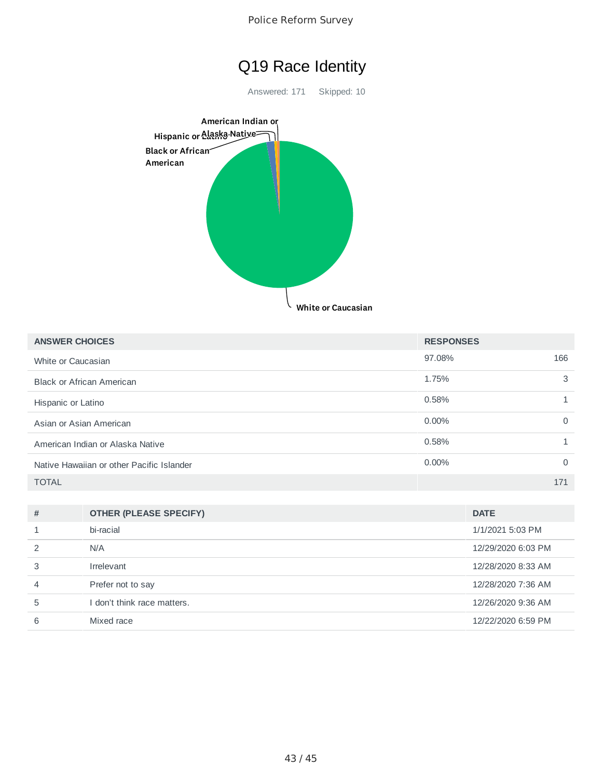



Answered: 171 Skipped: 10



| <b>ANSWER CHOICES</b>                     | <b>RESPONSES</b> |          |
|-------------------------------------------|------------------|----------|
| White or Caucasian                        | 97.08%           | 166      |
| <b>Black or African American</b>          | 1.75%            | 3        |
| Hispanic or Latino                        | 0.58%            |          |
| Asian or Asian American                   | $0.00\%$         | 0        |
| American Indian or Alaska Native          | 0.58%            |          |
| Native Hawaiian or other Pacific Islander | $0.00\%$         | $\Omega$ |
| <b>TOTAL</b>                              |                  | 171      |

| #             | <b>OTHER (PLEASE SPECIFY)</b> | <b>DATE</b>        |
|---------------|-------------------------------|--------------------|
| 1             | bi-racial                     | 1/1/2021 5:03 PM   |
| $\mathcal{P}$ | N/A                           | 12/29/2020 6:03 PM |
| 3             | Irrelevant                    | 12/28/2020 8:33 AM |
| 4             | Prefer not to say             | 12/28/2020 7:36 AM |
| 5             | I don't think race matters.   | 12/26/2020 9:36 AM |
| 6             | Mixed race                    | 12/22/2020 6:59 PM |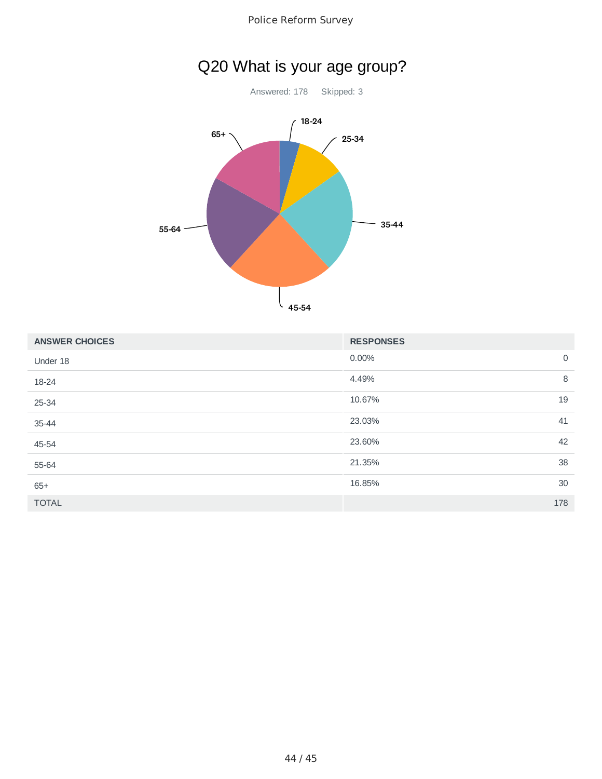

# Q20 What is your age group?



| <b>ANSWER CHOICES</b> | <b>RESPONSES</b> |             |
|-----------------------|------------------|-------------|
| Under 18              | 0.00%            | $\mathbf 0$ |
| 18-24                 | 4.49%            | 8           |
| 25-34                 | 10.67%           | 19          |
| 35-44                 | 23.03%           | 41          |
| 45-54                 | 23.60%           | 42          |
| 55-64                 | 21.35%           | 38          |
| $65+$                 | 16.85%           | 30          |
| <b>TOTAL</b>          |                  | 178         |